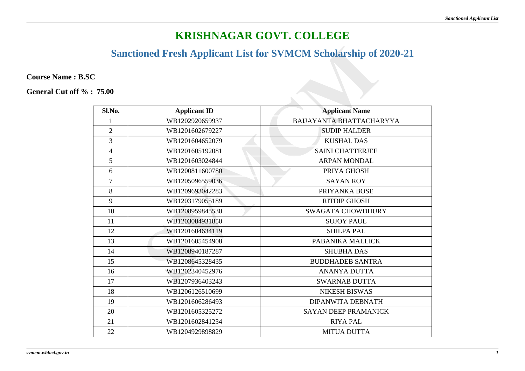## **Sanctioned Fresh Applicant List for SVMCM Scholarship of 2020-21**

**Course Name : B.SC** 

| Sl.No.         | <b>Applicant ID</b> | <b>Applicant Name</b>       |
|----------------|---------------------|-----------------------------|
|                | WB1202920659937     | BAIJAYANTA BHATTACHARYYA    |
| $\overline{2}$ | WB1201602679227     | <b>SUDIP HALDER</b>         |
| 3              | WB1201604652079     | <b>KUSHAL DAS</b>           |
| $\overline{4}$ | WB1201605192081     | <b>SAINI CHATTERJEE</b>     |
| 5              | WB1201603024844     | <b>ARPAN MONDAL</b>         |
| 6              | WB1200811600780     | PRIYA GHOSH                 |
| $\overline{7}$ | WB1205096559036     | <b>SAYAN ROY</b>            |
| 8              | WB1209693042283     | PRIYANKA BOSE               |
| 9              | WB1203179055189     | <b>RITDIP GHOSH</b>         |
| 10             | WB1208959845530     | <b>SWAGATA CHOWDHURY</b>    |
| 11             | WB1203084931850     | <b>SUJOY PAUL</b>           |
| 12             | WB1201604634119     | <b>SHILPA PAL</b>           |
| 13             | WB1201605454908     | PABANIKA MALLICK            |
| 14             | WB1208940187287     | <b>SHUBHA DAS</b>           |
| 15             | WB1208645328435     | <b>BUDDHADEB SANTRA</b>     |
| 16             | WB1202340452976     | <b>ANANYA DUTTA</b>         |
| 17             | WB1207936403243     | <b>SWARNAB DUTTA</b>        |
| 18             | WB1206126510699     | <b>NIKESH BISWAS</b>        |
| 19             | WB1201606286493     | <b>DIPANWITA DEBNATH</b>    |
| 20             | WB1201605325272     | <b>SAYAN DEEP PRAMANICK</b> |
| 21             | WB1201602841234     | <b>RIYA PAL</b>             |
| 22             | WB1204929898829     | <b>MITUA DUTTA</b>          |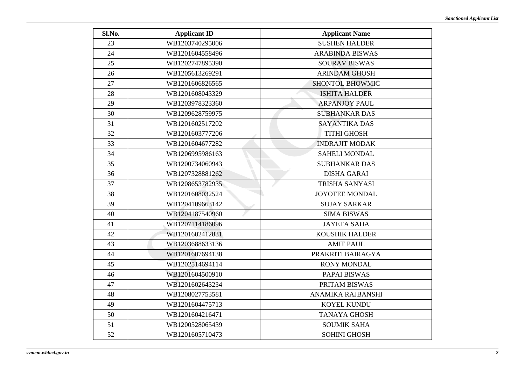| Sl.No. | <b>Applicant ID</b> | <b>Applicant Name</b>    |
|--------|---------------------|--------------------------|
| 23     | WB1203740295006     | <b>SUSHEN HALDER</b>     |
| 24     | WB1201604558496     | <b>ARABINDA BISWAS</b>   |
| 25     | WB1202747895390     | <b>SOURAV BISWAS</b>     |
| 26     | WB1205613269291     | <b>ARINDAM GHOSH</b>     |
| 27     | WB1201606826565     | <b>SHONTOL BHOWMIC</b>   |
| 28     | WB1201608043329     | <b>ISHITA HALDER</b>     |
| 29     | WB1203978323360     | <b>ARPANJOY PAUL</b>     |
| 30     | WB1209628759975     | <b>SUBHANKAR DAS</b>     |
| 31     | WB1201602517202     | <b>SAYANTIKA DAS</b>     |
| 32     | WB1201603777206     | <b>TITHI GHOSH</b>       |
| 33     | WB1201604677282     | <b>INDRAJIT MODAK</b>    |
| 34     | WB1206995986163     | <b>SAHELI MONDAL</b>     |
| 35     | WB1200734060943     | <b>SUBHANKAR DAS</b>     |
| 36     | WB1207328881262     | <b>DISHA GARAI</b>       |
| 37     | WB1208653782935     | <b>TRISHA SANYASI</b>    |
| 38     | WB1201608032524     | JOYOTEE MONDAL           |
| 39     | WB1204109663142     | <b>SUJAY SARKAR</b>      |
| 40     | WB1204187540960     | <b>SIMA BISWAS</b>       |
| 41     | WB1207114186096     | <b>JAYETA SAHA</b>       |
| 42     | WB1201602412831     | <b>KOUSHIK HALDER</b>    |
| 43     | WB1203688633136     | <b>AMIT PAUL</b>         |
| 44     | WB1201607694138     | PRAKRITI BAIRAGYA        |
| 45     | WB1202514694114     | <b>RONY MONDAL</b>       |
| 46     | WB1201604500910     | PAPAI BISWAS             |
| 47     | WB1201602643234     | PRITAM BISWAS            |
| 48     | WB1208027753581     | <b>ANAMIKA RAJBANSHI</b> |
| 49     | WB1201604475713     | KOYEL KUNDU              |
| 50     | WB1201604216471     | <b>TANAYA GHOSH</b>      |
| 51     | WB1200528065439     | <b>SOUMIK SAHA</b>       |
| 52     | WB1201605710473     | <b>SOHINI GHOSH</b>      |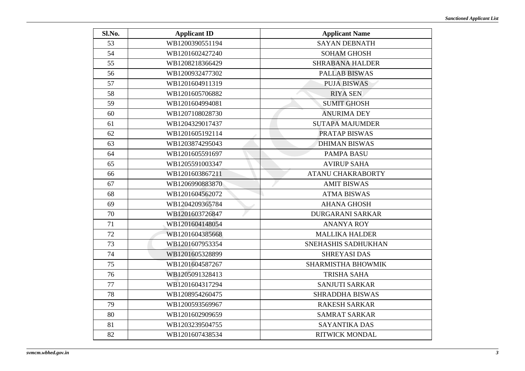| Sl.No. | <b>Applicant ID</b> | <b>Applicant Name</b>     |
|--------|---------------------|---------------------------|
| 53     | WB1200390551194     | <b>SAYAN DEBNATH</b>      |
| 54     | WB1201602427240     | <b>SOHAM GHOSH</b>        |
| 55     | WB1208218366429     | <b>SHRABANA HALDER</b>    |
| 56     | WB1200932477302     | <b>PALLAB BISWAS</b>      |
| 57     | WB1201604911319     | <b>PUJA BISWAS</b>        |
| 58     | WB1201605706882     | <b>RIYA SEN</b>           |
| 59     | WB1201604994081     | <b>SUMIT GHOSH</b>        |
| 60     | WB1207108028730     | <b>ANURIMA DEY</b>        |
| 61     | WB1204329017437     | <b>SUTAPA MAJUMDER</b>    |
| 62     | WB1201605192114     | <b>PRATAP BISWAS</b>      |
| 63     | WB1203874295043     | <b>DHIMAN BISWAS</b>      |
| 64     | WB1201605591697     | <b>PAMPA BASU</b>         |
| 65     | WB1205591003347     | <b>AVIRUP SAHA</b>        |
| 66     | WB1201603867211     | <b>ATANU CHAKRABORTY</b>  |
| 67     | WB1206990883870     | <b>AMIT BISWAS</b>        |
| 68     | WB1201604562072     | <b>ATMA BISWAS</b>        |
| 69     | WB1204209365784     | <b>AHANA GHOSH</b>        |
| 70     | WB1201603726847     | <b>DURGARANI SARKAR</b>   |
| 71     | WB1201604148054     | <b>ANANYA ROY</b>         |
| 72     | WB1201604385668     | <b>MALLIKA HALDER</b>     |
| 73     | WB1201607953354     | SNEHASHIS SADHUKHAN       |
| 74     | WB1201605328899     | <b>SHREYASI DAS</b>       |
| 75     | WB1201604587267     | <b>SHARMISTHA BHOWMIK</b> |
| 76     | WB1205091328413     | <b>TRISHA SAHA</b>        |
| 77     | WB1201604317294     | <b>SANJUTI SARKAR</b>     |
| 78     | WB1208954260475     | <b>SHRADDHA BISWAS</b>    |
| 79     | WB1200593569967     | <b>RAKESH SARKAR</b>      |
| 80     | WB1201602909659     | <b>SAMRAT SARKAR</b>      |
| 81     | WB1203239504755     | <b>SAYANTIKA DAS</b>      |
| 82     | WB1201607438534     | <b>RITWICK MONDAL</b>     |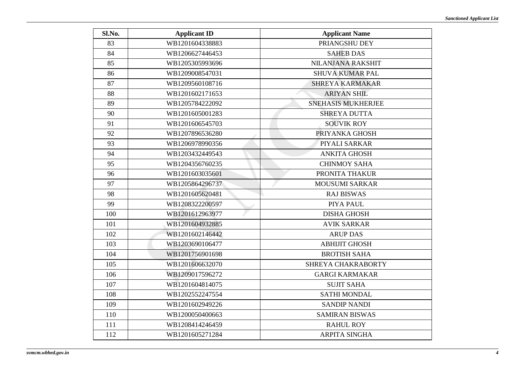| Sl.No. | <b>Applicant ID</b> | <b>Applicant Name</b>     |
|--------|---------------------|---------------------------|
| 83     | WB1201604338883     | PRIANGSHU DEY             |
| 84     | WB1206627446453     | <b>SAHEB DAS</b>          |
| 85     | WB1205305993696     | <b>NILANJANA RAKSHIT</b>  |
| 86     | WB1209008547031     | <b>SHUVA KUMAR PAL</b>    |
| 87     | WB1209560108716     | <b>SHREYA KARMAKAR</b>    |
| 88     | WB1201602171653     | <b>ARIYAN SHIL</b>        |
| 89     | WB1205784222092     | <b>SNEHASIS MUKHERJEE</b> |
| 90     | WB1201605001283     | <b>SHREYA DUTTA</b>       |
| 91     | WB1201606545703     | <b>SOUVIK ROY</b>         |
| 92     | WB1207896536280     | PRIYANKA GHOSH            |
| 93     | WB1206978990356     | PIYALI SARKAR             |
| 94     | WB1203432449543     | <b>ANKITA GHOSH</b>       |
| 95     | WB1204356760235     | <b>CHINMOY SAHA</b>       |
| 96     | WB1201603035601     | PRONITA THAKUR            |
| 97     | WB1205864296737     | <b>MOUSUMI SARKAR</b>     |
| 98     | WB1201605620481     | <b>RAJ BISWAS</b>         |
| 99     | WB1208322200597     | PIYA PAUL                 |
| 100    | WB1201612963977     | <b>DISHA GHOSH</b>        |
| 101    | WB1201604932885     | <b>AVIK SARKAR</b>        |
| 102    | WB1201602146442     | <b>ARUP DAS</b>           |
| 103    | WB1203690106477     | <b>ABHIJIT GHOSH</b>      |
| 104    | WB1201756901698     | <b>BROTISH SAHA</b>       |
| 105    | WB1201606632070     | SHREYA CHAKRABORTY        |
| 106    | WB1209017596272     | <b>GARGI KARMAKAR</b>     |
| 107    | WB1201604814075     | <b>SUJIT SAHA</b>         |
| 108    | WB1202552247554     | <b>SATHI MONDAL</b>       |
| 109    | WB1201602949226     | <b>SANDIP NANDI</b>       |
| 110    | WB1200050400663     | <b>SAMIRAN BISWAS</b>     |
| 111    | WB1208414246459     | <b>RAHUL ROY</b>          |
| 112    | WB1201605271284     | <b>ARPITA SINGHA</b>      |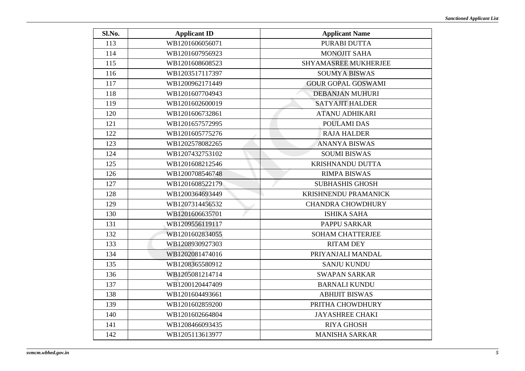| Sl.No. | <b>Applicant ID</b> | <b>Applicant Name</b>       |
|--------|---------------------|-----------------------------|
| 113    | WB1201606056071     | PURABI DUTTA                |
| 114    | WB1201607956923     | <b>MONOJIT SAHA</b>         |
| 115    | WB1201608608523     | <b>SHYAMASREE MUKHERJEE</b> |
| 116    | WB1203517117397     | <b>SOUMYA BISWAS</b>        |
| 117    | WB1200962171449     | <b>GOUR GOPAL GOSWAMI</b>   |
| 118    | WB1201607704943     | <b>DEBANJAN MUHURI</b>      |
| 119    | WB1201602600019     | <b>SATYAJIT HALDER</b>      |
| 120    | WB1201606732861     | <b>ATANU ADHIKARI</b>       |
| 121    | WB1201657572995     | POULAMI DAS                 |
| 122    | WB1201605775276     | <b>RAJA HALDER</b>          |
| 123    | WB1202578082265     | <b>ANANYA BISWAS</b>        |
| 124    | WB1207432753102     | <b>SOUMI BISWAS</b>         |
| 125    | WB1201608212546     | <b>KRISHNANDU DUTTA</b>     |
| 126    | WB1200708546748     | <b>RIMPA BISWAS</b>         |
| 127    | WB1201608522179     | <b>SUBHASHIS GHOSH</b>      |
| 128    | WB1200364693449     | KRISHNENDU PRAMANICK        |
| 129    | WB1207314456532     | <b>CHANDRA CHOWDHURY</b>    |
| 130    | WB1201606635701     | <b>ISHIKA SAHA</b>          |
| 131    | WB1209556119117     | <b>PAPPU SARKAR</b>         |
| 132    | WB1201602834055     | <b>SOHAM CHATTERJEE</b>     |
| 133    | WB1208930927303     | <b>RITAM DEY</b>            |
| 134    | WB1202081474016     | PRIYANJALI MANDAL           |
| 135    | WB1208365580912     | <b>SANJU KUNDU</b>          |
| 136    | WB1205081214714     | <b>SWAPAN SARKAR</b>        |
| 137    | WB1200120447409     | <b>BARNALI KUNDU</b>        |
| 138    | WB1201604493661     | <b>ABHIJIT BISWAS</b>       |
| 139    | WB1201602859200     | PRITHA CHOWDHURY            |
| 140    | WB1201602664804     | <b>JAYASHREE CHAKI</b>      |
| 141    | WB1208466093435     | <b>RIYA GHOSH</b>           |
| 142    | WB1205113613977     | <b>MANISHA SARKAR</b>       |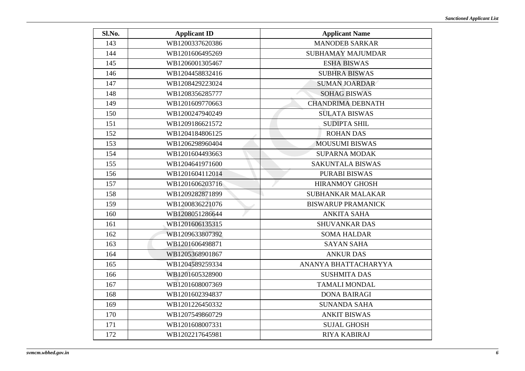| Sl.No. | <b>Applicant ID</b> | <b>Applicant Name</b>     |
|--------|---------------------|---------------------------|
| 143    | WB1200337620386     | <b>MANODEB SARKAR</b>     |
| 144    | WB1201606495269     | <b>SUBHAMAY MAJUMDAR</b>  |
| 145    | WB1206001305467     | <b>ESHA BISWAS</b>        |
| 146    | WB1204458832416     | <b>SUBHRA BISWAS</b>      |
| 147    | WB1208429223024     | <b>SUMAN JOARDAR</b>      |
| 148    | WB1208356285777     | <b>SOHAG BISWAS</b>       |
| 149    | WB1201609770663     | <b>CHANDRIMA DEBNATH</b>  |
| 150    | WB1200247940249     | <b>SULATA BISWAS</b>      |
| 151    | WB1209186621572     | <b>SUDIPTA SHIL</b>       |
| 152    | WB1204184806125     | <b>ROHAN DAS</b>          |
| 153    | WB1206298960404     | <b>MOUSUMI BISWAS</b>     |
| 154    | WB1201604493663     | <b>SUPARNA MODAK</b>      |
| 155    | WB1204641971600     | <b>SAKUNTALA BISWAS</b>   |
| 156    | WB1201604112014     | <b>PURABI BISWAS</b>      |
| 157    | WB1201606203716     | <b>HIRANMOY GHOSH</b>     |
| 158    | WB1209282871899     | SUBHANKAR MALAKAR         |
| 159    | WB1200836221076     | <b>BISWARUP PRAMANICK</b> |
| 160    | WB1208051286644     | <b>ANKITA SAHA</b>        |
| 161    | WB1201606135315     | <b>SHUVANKAR DAS</b>      |
| 162    | WB1209633807392     | <b>SOMA HALDAR</b>        |
| 163    | WB1201606498871     | <b>SAYAN SAHA</b>         |
| 164    | WB1205368901867     | <b>ANKUR DAS</b>          |
| 165    | WB1204589259334     | ANANYA BHATTACHARYYA      |
| 166    | WB1201605328900     | <b>SUSHMITA DAS</b>       |
| 167    | WB1201608007369     | <b>TAMALI MONDAL</b>      |
| 168    | WB1201602394837     | <b>DONA BAIRAGI</b>       |
| 169    | WB1201226450332     | <b>SUNANDA SAHA</b>       |
| 170    | WB1207549860729     | <b>ANKIT BISWAS</b>       |
| 171    | WB1201608007331     | <b>SUJAL GHOSH</b>        |
| 172    | WB1202217645981     | RIYA KABIRAJ              |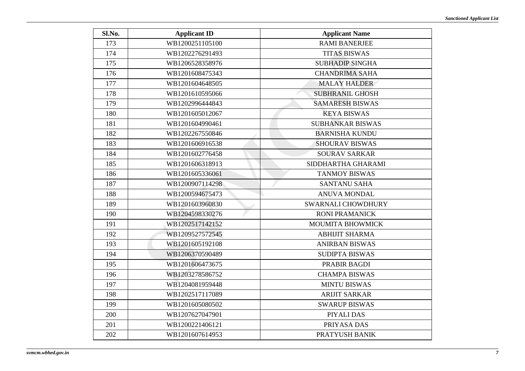| Sl.No. | <b>Applicant ID</b> | <b>Applicant Name</b>   |
|--------|---------------------|-------------------------|
| 173    | WB1200251105100     | <b>RAMI BANERJEE</b>    |
| 174    | WB1202276291493     | <b>TITAS BISWAS</b>     |
| 175    | WB1206528358976     | <b>SUBHADIP SINGHA</b>  |
| 176    | WB1201608475343     | <b>CHANDRIMA SAHA</b>   |
| 177    | WB1201604648505     | <b>MALAY HALDER</b>     |
| 178    | WB1201610595066     | <b>SUBHRANIL GHOSH</b>  |
| 179    | WB1202996444843     | <b>SAMARESH BISWAS</b>  |
| 180    | WB1201605012067     | <b>KEYA BISWAS</b>      |
| 181    | WB1201604990461     | <b>SUBHANKAR BISWAS</b> |
| 182    | WB1202267550846     | <b>BARNISHA KUNDU</b>   |
| 183    | WB1201606916538     | <b>SHOURAV BISWAS</b>   |
| 184    | WB1201602776458     | <b>SOURAV SARKAR</b>    |
| 185    | WB1201606318913     | SIDDHARTHA GHARAMI      |
| 186    | WB1201605336061     | <b>TANMOY BISWAS</b>    |
| 187    | WB1200907114298     | <b>SANTANU SAHA</b>     |
| 188    | WB1200594675473     | <b>ANUVA MONDAL</b>     |
| 189    | WB1201603960830     | SWARNALI CHOWDHURY      |
| 190    | WB1204598330276     | <b>RONI PRAMANICK</b>   |
| 191    | WB1202517142152     | <b>MOUMITA BHOWMICK</b> |
| 192    | WB1209527572545     | <b>ABHIJIT SHARMA</b>   |
| 193    | WB1201605192108     | <b>ANIRBAN BISWAS</b>   |
| 194    | WB1206370590489     | <b>SUDIPTA BISWAS</b>   |
| 195    | WB1201606473675     | PRABIR BAGDI            |
| 196    | WB1203278586752     | <b>CHAMPA BISWAS</b>    |
| 197    | WB1204081959448     | <b>MINTU BISWAS</b>     |
| 198    | WB1202517117089     | <b>ARIJIT SARKAR</b>    |
| 199    | WB1201605080502     | <b>SWARUP BISWAS</b>    |
| 200    | WB1207627047901     | PIYALI DAS              |
| 201    | WB1200221406121     | PRIYASA DAS             |
| 202    | WB1201607614953     | PRATYUSH BANIK          |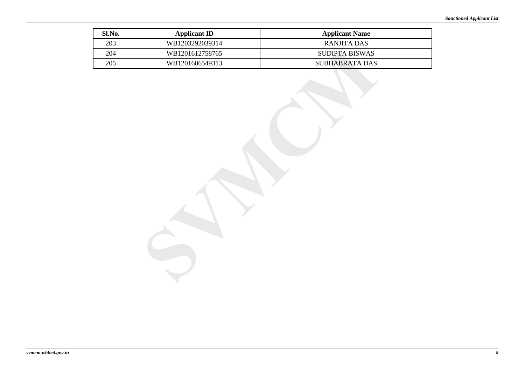| Sl.No. | <b>Applicant ID</b> | <b>Applicant Name</b> |
|--------|---------------------|-----------------------|
| 203    | WB1203292039314     | RANJITA DAS           |
| 204    | WB1201612758765     | <b>SUDIPTA BISWAS</b> |
| 205    | WB1201606549313     | SUBHABRATA DAS        |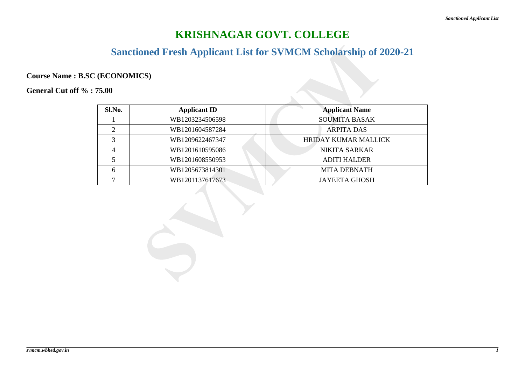## **Sanctioned Fresh Applicant List for SVMCM Scholarship of 2020-21**

### **Course Name : B.SC (ECONOMICS)**

| Sl.No. | <b>Applicant ID</b> | <b>Applicant Name</b>       |
|--------|---------------------|-----------------------------|
|        | WB1203234506598     | <b>SOUMITA BASAK</b>        |
|        | WB1201604587284     | <b>ARPITA DAS</b>           |
|        | WB1209622467347     | <b>HRIDAY KUMAR MALLICK</b> |
| 4      | WB1201610595086     | <b>NIKITA SARKAR</b>        |
|        | WB1201608550953     | <b>ADITI HALDER</b>         |
| h      | WB1205673814301     | <b>MITA DEBNATH</b>         |
|        | WB1201137617673     | <b>JAYEETA GHOSH</b>        |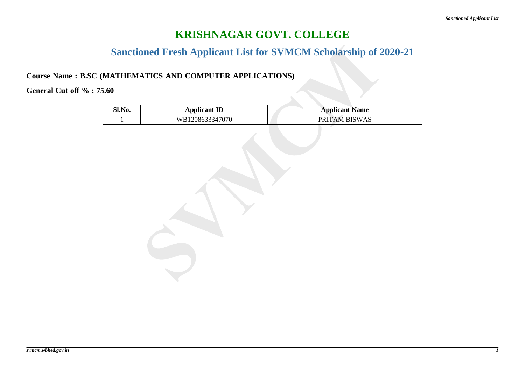## **Sanctioned Fresh Applicant List for SVMCM Scholarship of 2020-21**

#### **Course Name : B.SC (MATHEMATICS AND COMPUTER APPLICATIONS)**

| Sl.No. | <b>Applicant ID</b> | <b>Applicant Name</b> |
|--------|---------------------|-----------------------|
|        | WB1208633347070     | PRITAM BISWAS         |
|        |                     |                       |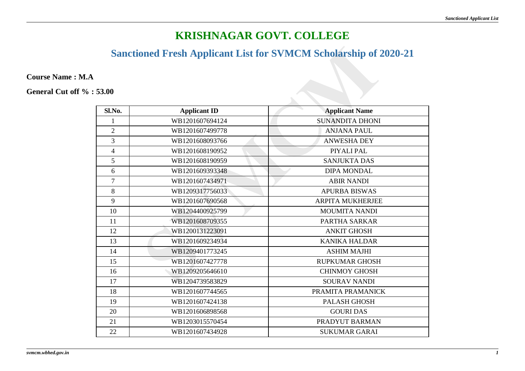## **Sanctioned Fresh Applicant List for SVMCM Scholarship of 2020-21**

**Course Name : M.A**

| Sl.No.         | <b>Applicant ID</b> | <b>Applicant Name</b>   |
|----------------|---------------------|-------------------------|
|                | WB1201607694124     | <b>SUNANDITA DHONI</b>  |
| $\overline{2}$ | WB1201607499778     | <b>ANJANA PAUL</b>      |
| 3              | WB1201608093766     | <b>ANWESHA DEY</b>      |
| $\overline{4}$ | WB1201608190952     | PIYALI PAL              |
| 5              | WB1201608190959     | <b>SANJUKTA DAS</b>     |
| 6              | WB1201609393348     | <b>DIPA MONDAL</b>      |
| $\overline{7}$ | WB1201607434971     | <b>ABIR NANDI</b>       |
| 8              | WB1209317756033     | <b>APURBA BISWAS</b>    |
| 9              | WB1201607690568     | <b>ARPITA MUKHERJEE</b> |
| 10             | WB1204400925799     | <b>MOUMITA NANDI</b>    |
| 11             | WB1201608709355     | PARTHA SARKAR           |
| 12             | WB1200131223091     | <b>ANKIT GHOSH</b>      |
| 13             | WB1201609234934     | <b>KANIKA HALDAR</b>    |
| 14             | WB1209401773245     | <b>ASHIM MAJHI</b>      |
| 15             | WB1201607427778     | <b>RUPKUMAR GHOSH</b>   |
| 16             | WB1209205646610     | <b>CHINMOY GHOSH</b>    |
| 17             | WB1204739583829     | <b>SOURAV NANDI</b>     |
| 18             | WB1201607744565     | PRAMITA PRAMANICK       |
| 19             | WB1201607424138     | PALASH GHOSH            |
| 20             | WB1201606898568     | <b>GOURI DAS</b>        |
| 21             | WB1203015570454     | PRADYUT BARMAN          |
| 22             | WB1201607434928     | <b>SUKUMAR GARAI</b>    |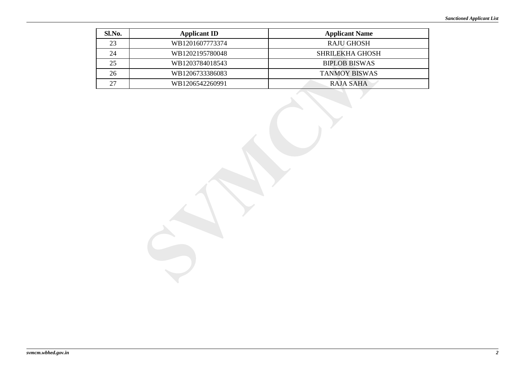| Sl.No. | <b>Applicant ID</b> | <b>Applicant Name</b>  |
|--------|---------------------|------------------------|
| 23     | WB1201607773374     | RAJU GHOSH             |
| 24     | WB1202195780048     | <b>SHRILEKHA GHOSH</b> |
| 25     | WB1203784018543     | <b>BIPLOB BISWAS</b>   |
| 26     | WB1206733386083     | <b>TANMOY BISWAS</b>   |
| 27     | WB1206542260991     | RAJA SAHA              |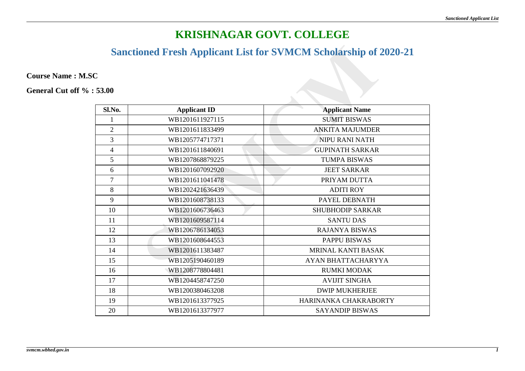## **Sanctioned Fresh Applicant List for SVMCM Scholarship of 2020-21**

**Course Name : M.SC**

| Sl.No.         | <b>Applicant ID</b> | <b>Applicant Name</b>   |
|----------------|---------------------|-------------------------|
|                | WB1201611927115     | <b>SUMIT BISWAS</b>     |
| $\overline{2}$ | WB1201611833499     | <b>ANKITA MAJUMDER</b>  |
| 3              | WB1205774717371     | <b>NIPU RANI NATH</b>   |
| $\overline{4}$ | WB1201611840691     | <b>GUPINATH SARKAR</b>  |
| 5              | WB1207868879225     | <b>TUMPA BISWAS</b>     |
| 6              | WB1201607092920     | <b>JEET SARKAR</b>      |
| $\overline{7}$ | WB1201611041478     | PRIYAM DUTTA            |
| 8              | WB1202421636439     | <b>ADITI ROY</b>        |
| 9              | WB1201608738133     | PAYEL DEBNATH           |
| 10             | WB1201606736463     | <b>SHUBHODIP SARKAR</b> |
| 11             | WB1201609587114     | <b>SANTU DAS</b>        |
| 12             | WB1206786134053     | <b>RAJANYA BISWAS</b>   |
| 13             | WB1201608644553     | <b>PAPPU BISWAS</b>     |
| 14             | WB1201611383487     | MRINAL KANTI BASAK      |
| 15             | WB1205190460189     | AYAN BHATTACHARYYA      |
| 16             | WB1208778804481     | <b>RUMKI MODAK</b>      |
| 17             | WB1204458747250     | <b>AVIJIT SINGHA</b>    |
| 18             | WB1200380463208     | <b>DWIP MUKHERJEE</b>   |
| 19             | WB1201613377925     | HARINANKA CHAKRABORTY   |
| 20             | WB1201613377977     | <b>SAYANDIP BISWAS</b>  |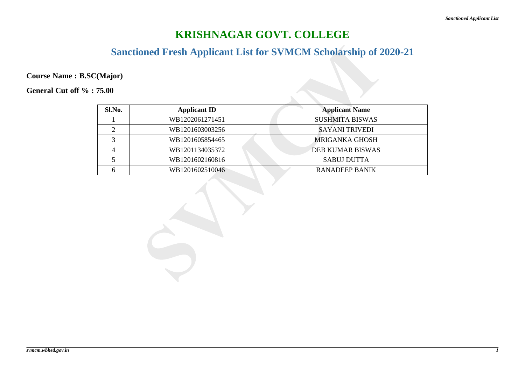## **Sanctioned Fresh Applicant List for SVMCM Scholarship of 2020-21**

**Course Name : B.SC(Major)**

| Sl.No. | <b>Applicant ID</b> | <b>Applicant Name</b>   |
|--------|---------------------|-------------------------|
|        | WB1202061271451     | <b>SUSHMITA BISWAS</b>  |
|        | WB1201603003256     | <b>SAYANI TRIVEDI</b>   |
|        | WB1201605854465     | MRIGANKA GHOSH          |
|        | WB1201134035372     | <b>DEB KUMAR BISWAS</b> |
|        | WB1201602160816     | <b>SABUJ DUTTA</b>      |
|        | WB1201602510046     | RANADEEP BANIK          |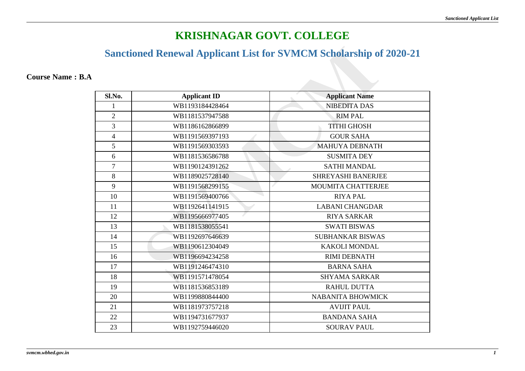## **Sanctioned Renewal Applicant List for SVMCM Scholarship of 2020-21**

#### **Course Name : B.A**

| Sl.No.         | <b>Applicant ID</b> | <b>Applicant Name</b>     |
|----------------|---------------------|---------------------------|
| 1              | WB1193184428464     | <b>NIBEDITA DAS</b>       |
| $\overline{2}$ | WB1181537947588     | <b>RIM PAL</b>            |
| $\overline{3}$ | WB1186162866899     | <b>TITHI GHOSH</b>        |
| $\overline{4}$ | WB1191569397193     | <b>GOUR SAHA</b>          |
| 5              | WB1191569303593     | <b>MAHUYA DEBNATH</b>     |
| 6              | WB1181536586788     | <b>SUSMITA DEY</b>        |
| $\overline{7}$ | WB1190124391262     | <b>SATHI MANDAL</b>       |
| 8              | WB1189025728140     | <b>SHREYASHI BANERJEE</b> |
| 9              | WB1191568299155     | <b>MOUMITA CHATTERJEE</b> |
| 10             | WB1191569400766     | <b>RIYA PAL</b>           |
| 11             | WB1192641141915     | <b>LABANI CHANGDAR</b>    |
| 12             | WB1195666977405     | <b>RIYA SARKAR</b>        |
| 13             | WB1181538055541     | <b>SWATI BISWAS</b>       |
| 14             | WB1192697646639     | <b>SUBHANKAR BISWAS</b>   |
| 15             | WB1190612304049     | <b>KAKOLI MONDAL</b>      |
| 16             | WB1196694234258     | <b>RIMI DEBNATH</b>       |
| 17             | WB1191246474310     | <b>BARNA SAHA</b>         |
| 18             | WB1191571478054     | <b>SHYAMA SARKAR</b>      |
| 19             | WB1181536853189     | <b>RAHUL DUTTA</b>        |
| 20             | WB1199880844400     | <b>NABANITA BHOWMICK</b>  |
| 21             | WB1181973757218     | <b>AVIJIT PAUL</b>        |
| 22             | WB1194731677937     | <b>BANDANA SAHA</b>       |
| 23             | WB1192759446020     | <b>SOURAV PAUL</b>        |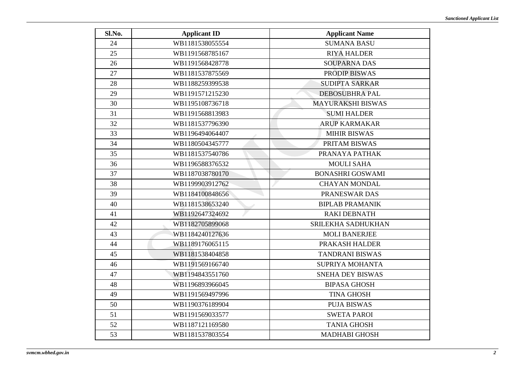| Sl.No. | <b>Applicant ID</b> | <b>Applicant Name</b>    |
|--------|---------------------|--------------------------|
| 24     | WB1181538055554     | <b>SUMANA BASU</b>       |
| 25     | WB1191568785167     | <b>RIYA HALDER</b>       |
| 26     | WB1191568428778     | <b>SOUPARNA DAS</b>      |
| 27     | WB1181537875569     | <b>PRODIP BISWAS</b>     |
| 28     | WB1188259399538     | <b>SUDIPTA SARKAR</b>    |
| 29     | WB1191571215230     | <b>DEBOSUBHRA PAL</b>    |
| 30     | WB1195108736718     | <b>MAYURAKSHI BISWAS</b> |
| 31     | WB1191568813983     | <b>SUMI HALDER</b>       |
| 32     | WB1181537796390     | <b>ARUP KARMAKAR</b>     |
| 33     | WB1196494064407     | <b>MIHIR BISWAS</b>      |
| 34     | WB1180504345777     | PRITAM BISWAS            |
| 35     | WB1181537540786     | PRANAYA PATHAK           |
| 36     | WB1196588376532     | <b>MOULI SAHA</b>        |
| 37     | WB1187038780170     | <b>BONASHRI GOSWAMI</b>  |
| 38     | WB1199903912762     | <b>CHAYAN MONDAL</b>     |
| 39     | WB1184100848656     | PRANESWAR DAS            |
| 40     | WB1181538653240     | <b>BIPLAB PRAMANIK</b>   |
| 41     | WB1192647324692     | <b>RAKI DEBNATH</b>      |
| 42     | WB1182705899068     | SRILEKHA SADHUKHAN       |
| 43     | WB1184240127636     | <b>MOLI BANERJEE</b>     |
| 44     | WB1189176065115     | PRAKASH HALDER           |
| 45     | WB1181538404858     | <b>TANDRANI BISWAS</b>   |
| 46     | WB1191569166740     | <b>SUPRIYA MOHANTA</b>   |
| 47     | WB1194843551760     | SNEHA DEY BISWAS         |
| 48     | WB1196893966045     | <b>BIPASA GHOSH</b>      |
| 49     | WB1191569497996     | <b>TINA GHOSH</b>        |
| 50     | WB1190376189904     | <b>PUJA BISWAS</b>       |
| 51     | WB1191569033577     | <b>SWETA PAROI</b>       |
| 52     | WB1187121169580     | <b>TANIA GHOSH</b>       |
| 53     | WB1181537803554     | <b>MADHABI GHOSH</b>     |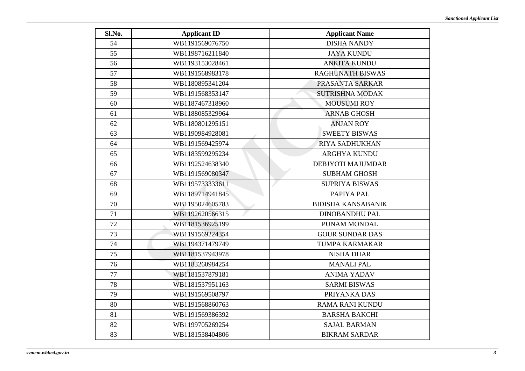| Sl.No. | <b>Applicant ID</b> | <b>Applicant Name</b>     |
|--------|---------------------|---------------------------|
| 54     | WB1191569076750     | <b>DISHA NANDY</b>        |
| 55     | WB1198716211840     | <b>JAYA KUNDU</b>         |
| 56     | WB1193153028461     | <b>ANKITA KUNDU</b>       |
| 57     | WB1191568983178     | <b>RAGHUNATH BISWAS</b>   |
| 58     | WB1180895341204     | PRASANTA SARKAR           |
| 59     | WB1191568353147     | <b>SUTRISHNA MODAK</b>    |
| 60     | WB1187467318960     | <b>MOUSUMI ROY</b>        |
| 61     | WB1188085329964     | <b>ARNAB GHOSH</b>        |
| 62     | WB1180801295151     | <b>ANJAN ROY</b>          |
| 63     | WB1190984928081     | <b>SWEETY BISWAS</b>      |
| 64     | WB1191569425974     | <b>RIYA SADHUKHAN</b>     |
| 65     | WB1183599295234     | <b>ARGHYA KUNDU</b>       |
| 66     | WB1192524638340     | DEBJYOTI MAJUMDAR         |
| 67     | WB1191569080347     | <b>SUBHAM GHOSH</b>       |
| 68     | WB1195733333611     | <b>SUPRIYA BISWAS</b>     |
| 69     | WB1189714941845     | PAPIYA PAL                |
| 70     | WB1195024605783     | <b>BIDISHA KANSABANIK</b> |
| 71     | WB1192620566315     | <b>DINOBANDHU PAL</b>     |
| 72     | WB1181536925199     | PUNAM MONDAL              |
| 73     | WB1191569224354     | <b>GOUR SUNDAR DAS</b>    |
| 74     | WB1194371479749     | TUMPA KARMAKAR            |
| 75     | WB1181537943978     | <b>NISHA DHAR</b>         |
| 76     | WB1183260984254     | <b>MANALI PAL</b>         |
| 77     | WB1181537879181     | <b>ANIMA YADAV</b>        |
| 78     | WB1181537951163     | <b>SARMI BISWAS</b>       |
| 79     | WB1191569508797     | PRIYANKA DAS              |
| 80     | WB1191568860763     | <b>RAMA RANI KUNDU</b>    |
| 81     | WB1191569386392     | <b>BARSHA BAKCHI</b>      |
| 82     | WB1199705269254     | <b>SAJAL BARMAN</b>       |
| 83     | WB1181538404806     | <b>BIKRAM SARDAR</b>      |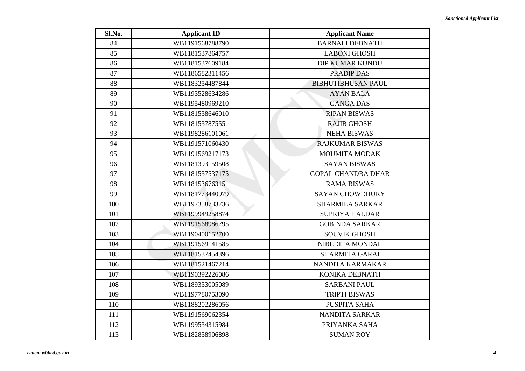| Sl.No. | <b>Applicant ID</b> | <b>Applicant Name</b>     |
|--------|---------------------|---------------------------|
| 84     | WB1191568788790     | <b>BARNALI DEBNATH</b>    |
| 85     | WB1181537864757     | <b>LABONI GHOSH</b>       |
| 86     | WB1181537609184     | <b>DIP KUMAR KUNDU</b>    |
| 87     | WB1186582311456     | <b>PRADIP DAS</b>         |
| 88     | WB1183254487844     | <b>BIBHUTIBHUSAN PAUL</b> |
| 89     | WB1193528634286     | <b>AYAN BALA</b>          |
| 90     | WB1195480969210     | <b>GANGA DAS</b>          |
| 91     | WB1181538646010     | <b>RIPAN BISWAS</b>       |
| 92     | WB1181537875551     | <b>RAJIB GHOSH</b>        |
| 93     | WB1198286101061     | <b>NEHA BISWAS</b>        |
| 94     | WB1191571060430     | <b>RAJKUMAR BISWAS</b>    |
| 95     | WB1191569217173     | <b>MOUMITA MODAK</b>      |
| 96     | WB1181393159508     | <b>SAYAN BISWAS</b>       |
| 97     | WB1181537537175     | <b>GOPAL CHANDRA DHAR</b> |
| 98     | WB1181536763151     | <b>RAMA BISWAS</b>        |
| 99     | WB1181773440979     | <b>SAYAN CHOWDHURY</b>    |
| 100    | WB1197358733736     | <b>SHARMILA SARKAR</b>    |
| 101    | WB1199949258874     | <b>SUPRIYA HALDAR</b>     |
| 102    | WB1191568986795     | <b>GOBINDA SARKAR</b>     |
| 103    | WB1190400152700     | <b>SOUVIK GHOSH</b>       |
| 104    | WB1191569141585     | NIBEDITA MONDAL           |
| 105    | WB1181537454396     | <b>SHARMITA GARAI</b>     |
| 106    | WB1181521467214     | NANDITA KARMAKAR          |
| 107    | WB1190392226086     | KONIKA DEBNATH            |
| 108    | WB1189353005089     | <b>SARBANI PAUL</b>       |
| 109    | WB1197780753090     | <b>TRIPTI BISWAS</b>      |
| 110    | WB1188202286056     | PUSPITA SAHA              |
| 111    | WB1191569062354     | <b>NANDITA SARKAR</b>     |
| 112    | WB1199534315984     | PRIYANKA SAHA             |
| 113    | WB1182858906898     | <b>SUMAN ROY</b>          |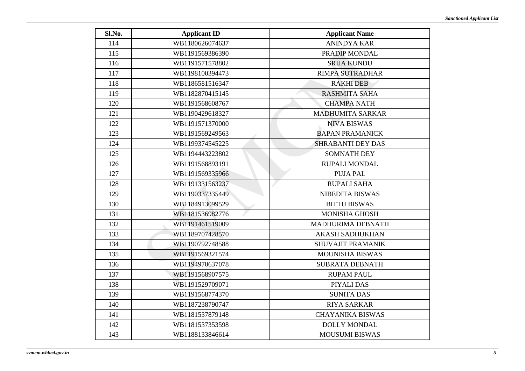| Sl.No. | <b>Applicant ID</b> | <b>Applicant Name</b>    |
|--------|---------------------|--------------------------|
| 114    | WB1180626074637     | <b>ANINDYA KAR</b>       |
| 115    | WB1191569386390     | PRADIP MONDAL            |
| 116    | WB1191571578802     | <b>SRIJA KUNDU</b>       |
| 117    | WB1198100394473     | <b>RIMPA SUTRADHAR</b>   |
| 118    | WB1186581516347     | <b>RAKHI DEB</b>         |
| 119    | WB1182870415145     | <b>RASHMITA SAHA</b>     |
| 120    | WB1191568608767     | <b>CHAMPA NATH</b>       |
| 121    | WB1190429618327     | <b>MADHUMITA SARKAR</b>  |
| 122    | WB1191571370000     | <b>NIVA BISWAS</b>       |
| 123    | WB1191569249563     | <b>BAPAN PRAMANICK</b>   |
| 124    | WB1199374545225     | <b>SHRABANTI DEY DAS</b> |
| 125    | WB1194443223802     | <b>SOMNATH DEY</b>       |
| 126    | WB1191568893191     | RUPALI MONDAL            |
| 127    | WB1191569335966     | <b>PUJA PAL</b>          |
| 128    | WB1191331563237     | <b>RUPALI SAHA</b>       |
| 129    | WB1190337335449     | <b>NIBEDITA BISWAS</b>   |
| 130    | WB1184913099529     | <b>BITTU BISWAS</b>      |
| 131    | WB1181536982776     | <b>MONISHA GHOSH</b>     |
| 132    | WB1191461519009     | MADHURIMA DEBNATH        |
| 133    | WB1189707428570     | <b>AKASH SADHUKHAN</b>   |
| 134    | WB1190792748588     | SHUVAJIT PRAMANIK        |
| 135    | WB1191569321574     | <b>MOUNISHA BISWAS</b>   |
| 136    | WB1194970637078     | <b>SUBRATA DEBNATH</b>   |
| 137    | WB1191568907575     | <b>RUPAM PAUL</b>        |
| 138    | WB1191529709071     | PIYALI DAS               |
| 139    | WB1191568774370     | <b>SUNITA DAS</b>        |
| 140    | WB1187238790747     | <b>RIYA SARKAR</b>       |
| 141    | WB1181537879148     | <b>CHAYANIKA BISWAS</b>  |
| 142    | WB1181537353598     | <b>DOLLY MONDAL</b>      |
| 143    | WB1188133846614     | <b>MOUSUMI BISWAS</b>    |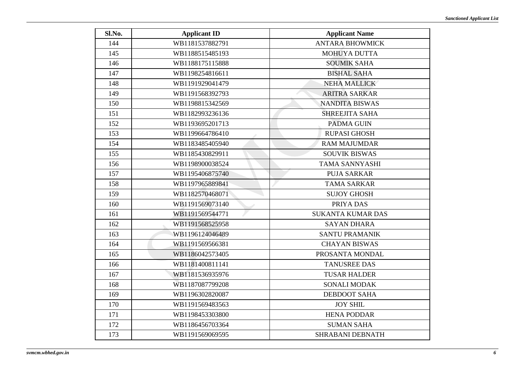| Sl.No. | <b>Applicant ID</b> | <b>Applicant Name</b>    |
|--------|---------------------|--------------------------|
| 144    | WB1181537882791     | <b>ANTARA BHOWMICK</b>   |
| 145    | WB1188515485193     | <b>MOHUYA DUTTA</b>      |
| 146    | WB1188175115888     | <b>SOUMIK SAHA</b>       |
| 147    | WB1198254816611     | <b>BISHAL SAHA</b>       |
| 148    | WB1191929041479     | <b>NEHA MALLICK</b>      |
| 149    | WB1191568392793     | <b>ARITRA SARKAR</b>     |
| 150    | WB1198815342569     | <b>NANDITA BISWAS</b>    |
| 151    | WB1182993236136     | <b>SHREEJITA SAHA</b>    |
| 152    | WB1193695201713     | <b>PADMA GUIN</b>        |
| 153    | WB1199664786410     | <b>RUPASI GHOSH</b>      |
| 154    | WB1183485405940     | <b>RAM MAJUMDAR</b>      |
| 155    | WB1185430829911     | <b>SOUVIK BISWAS</b>     |
| 156    | WB1198900038524     | <b>TAMA SANNYASHI</b>    |
| 157    | WB1195406875740     | <b>PUJA SARKAR</b>       |
| 158    | WB1197965889841     | <b>TAMA SARKAR</b>       |
| 159    | WB1182570468071     | <b>SUJOY GHOSH</b>       |
| 160    | WB1191569073140     | PRIYA DAS                |
| 161    | WB1191569544771     | <b>SUKANTA KUMAR DAS</b> |
| 162    | WB1191568525958     | <b>SAYAN DHARA</b>       |
| 163    | WB1196124046489     | <b>SANTU PRAMANIK</b>    |
| 164    | WB1191569566381     | <b>CHAYAN BISWAS</b>     |
| 165    | WB1186042573405     | PROSANTA MONDAL          |
| 166    | WB1181400811141     | <b>TANUSREE DAS</b>      |
| 167    | WB1181536935976     | <b>TUSAR HALDER</b>      |
| 168    | WB1187087799208     | <b>SONALI MODAK</b>      |
| 169    | WB1196302820087     | <b>DEBDOOT SAHA</b>      |
| 170    | WB1191569483563     | <b>JOY SHIL</b>          |
| 171    | WB1198453303800     | <b>HENA PODDAR</b>       |
| 172    | WB1186456703364     | <b>SUMAN SAHA</b>        |
| 173    | WB1191569069595     | <b>SHRABANI DEBNATH</b>  |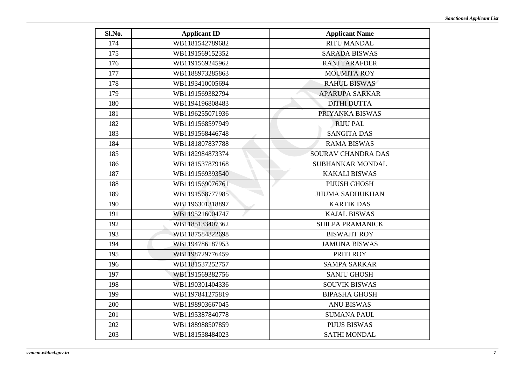| Sl.No. | <b>Applicant ID</b> | <b>Applicant Name</b>   |
|--------|---------------------|-------------------------|
| 174    | WB1181542789682     | <b>RITU MANDAL</b>      |
| 175    | WB1191569152352     | <b>SARADA BISWAS</b>    |
| 176    | WB1191569245962     | <b>RANI TARAFDER</b>    |
| 177    | WB1188973285863     | <b>MOUMITA ROY</b>      |
| 178    | WB1193410005694     | <b>RAHUL BISWAS</b>     |
| 179    | WB1191569382794     | <b>APARUPA SARKAR</b>   |
| 180    | WB1194196808483     | <b>DITHI DUTTA</b>      |
| 181    | WB1196255071936     | PRIYANKA BISWAS         |
| 182    | WB1191568597949     | <b>RIJU PAL</b>         |
| 183    | WB1191568446748     | <b>SANGITA DAS</b>      |
| 184    | WB1181807837788     | <b>RAMA BISWAS</b>      |
| 185    | WB1182984873374     | SOURAV CHANDRA DAS      |
| 186    | WB1181537879168     | SUBHANKAR MONDAL        |
| 187    | WB1191569393540     | <b>KAKALI BISWAS</b>    |
| 188    | WB1191569076761     | <b>PIJUSH GHOSH</b>     |
| 189    | WB1191568777985     | <b>JHUMA SADHUKHAN</b>  |
| 190    | WB1196301318897     | <b>KARTIK DAS</b>       |
| 191    | WB1195216004747     | <b>KAJAL BISWAS</b>     |
| 192    | WB1185133407362     | <b>SHILPA PRAMANICK</b> |
| 193    | WB1187584822698     | <b>BISWAJIT ROY</b>     |
| 194    | WB1194786187953     | <b>JAMUNA BISWAS</b>    |
| 195    | WB1198729776459     | PRITI ROY               |
| 196    | WB1181537252757     | <b>SAMPA SARKAR</b>     |
| 197    | WB1191569382756     | <b>SANJU GHOSH</b>      |
| 198    | WB1190301404336     | <b>SOUVIK BISWAS</b>    |
| 199    | WB1197841275819     | <b>BIPASHA GHOSH</b>    |
| 200    | WB1198903667045     | <b>ANU BISWAS</b>       |
| 201    | WB1195387840778     | <b>SUMANA PAUL</b>      |
| 202    | WB1188988507859     | <b>PIJUS BISWAS</b>     |
| 203    | WB1181538484023     | <b>SATHI MONDAL</b>     |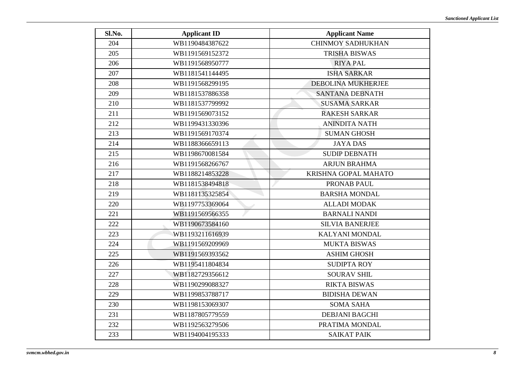| Sl.No. | <b>Applicant ID</b> | <b>Applicant Name</b>    |
|--------|---------------------|--------------------------|
| 204    | WB1190484387622     | <b>CHINMOY SADHUKHAN</b> |
| 205    | WB1191569152372     | <b>TRISHA BISWAS</b>     |
| 206    | WB1191568950777     | <b>RIYA PAL</b>          |
| 207    | WB1181541144495     | <b>ISHA SARKAR</b>       |
| 208    | WB1191568299195     | DEBOLINA MUKHERJEE       |
| 209    | WB1181537886358     | SANTANA DEBNATH          |
| 210    | WB1181537799992     | <b>SUSAMA SARKAR</b>     |
| 211    | WB1191569073152     | <b>RAKESH SARKAR</b>     |
| 212    | WB1199431330396     | <b>ANINDITA NATH</b>     |
| 213    | WB1191569170374     | <b>SUMAN GHOSH</b>       |
| 214    | WB1188366659113     | <b>JAYA DAS</b>          |
| 215    | WB1198670081584     | <b>SUDIP DEBNATH</b>     |
| 216    | WB1191568266767     | <b>ARJUN BRAHMA</b>      |
| 217    | WB1188214853228     | KRISHNA GOPAL MAHATO     |
| 218    | WB1181538494818     | PRONAB PAUL              |
| 219    | WB1181135325854     | <b>BARSHA MONDAL</b>     |
| 220    | WB1197753369064     | <b>ALLADI MODAK</b>      |
| 221    | WB1191569566355     | <b>BARNALI NANDI</b>     |
| 222    | WB1190673584160     | <b>SILVIA BANERJEE</b>   |
| 223    | WB1193211616939     | <b>KALYANI MONDAL</b>    |
| 224    | WB1191569209969     | <b>MUKTA BISWAS</b>      |
| 225    | WB1191569393562     | <b>ASHIM GHOSH</b>       |
| 226    | WB1195411804834     | <b>SUDIPTA ROY</b>       |
| 227    | WB1182729356612     | <b>SOURAV SHIL</b>       |
| 228    | WB1190299088327     | <b>RIKTA BISWAS</b>      |
| 229    | WB1199853788717     | <b>BIDISHA DEWAN</b>     |
| 230    | WB1198153069307     | <b>SOMA SAHA</b>         |
| 231    | WB1187805779559     | <b>DEBJANI BAGCHI</b>    |
| 232    | WB1192563279506     | PRATIMA MONDAL           |
| 233    | WB1194004195333     | <b>SAIKAT PAIK</b>       |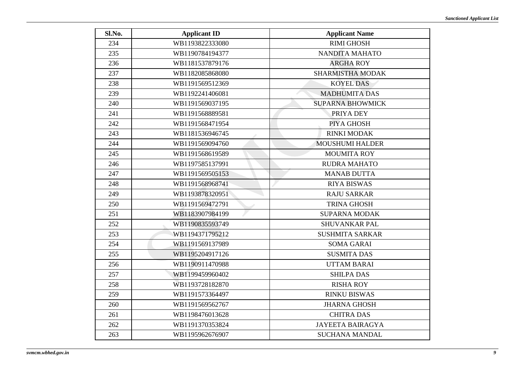| Sl.No. | <b>Applicant ID</b> | <b>Applicant Name</b>   |
|--------|---------------------|-------------------------|
| 234    | WB1193822333080     | <b>RIMI GHOSH</b>       |
| 235    | WB1190784194377     | NANDITA MAHATO          |
| 236    | WB1181537879176     | <b>ARGHA ROY</b>        |
| 237    | WB1182085868080     | <b>SHARMISTHA MODAK</b> |
| 238    | WB1191569512369     | <b>KOYEL DAS</b>        |
| 239    | WB1192241406081     | <b>MADHUMITA DAS</b>    |
| 240    | WB1191569037195     | <b>SUPARNA BHOWMICK</b> |
| 241    | WB1191568889581     | PRIYA DEY               |
| 242    | WB1191568471954     | PIYA GHOSH              |
| 243    | WB1181536946745     | <b>RINKI MODAK</b>      |
| 244    | WB1191569094760     | <b>MOUSHUMI HALDER</b>  |
| 245    | WB1191568619589     | <b>MOUMITA ROY</b>      |
| 246    | WB1197585137991     | <b>RUDRA MAHATO</b>     |
| 247    | WB1191569505153     | <b>MANAB DUTTA</b>      |
| 248    | WB1191568968741     | <b>RIYA BISWAS</b>      |
| 249    | WB1193878320951     | <b>RAJU SARKAR</b>      |
| 250    | WB1191569472791     | <b>TRINA GHOSH</b>      |
| 251    | WB1183907984199     | <b>SUPARNA MODAK</b>    |
| 252    | WB1190835593749     | <b>SHUVANKAR PAL</b>    |
| 253    | WB1194371795212     | <b>SUSHMITA SARKAR</b>  |
| 254    | WB1191569137989     | <b>SOMA GARAI</b>       |
| 255    | WB1195204917126     | <b>SUSMITA DAS</b>      |
| 256    | WB1190911470988     | <b>UTTAM BARAI</b>      |
| 257    | WB1199459960402     | <b>SHILPA DAS</b>       |
| 258    | WB1193728182870     | <b>RISHA ROY</b>        |
| 259    | WB1191573364497     | <b>RINKU BISWAS</b>     |
| 260    | WB1191569562767     | <b>JHARNA GHOSH</b>     |
| 261    | WB1198476013628     | <b>CHITRA DAS</b>       |
| 262    | WB1191370353824     | <b>JAYEETA BAIRAGYA</b> |
| 263    | WB1195962676907     | <b>SUCHANA MANDAL</b>   |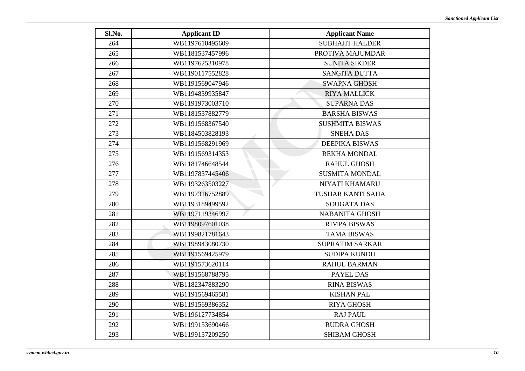| Sl.No. | <b>Applicant ID</b> | <b>Applicant Name</b>  |
|--------|---------------------|------------------------|
| 264    | WB1197610495609     | <b>SUBHAJIT HALDER</b> |
| 265    | WB1181537457996     | PROTIVA MAJUMDAR       |
| 266    | WB1197625310978     | <b>SUNITA SIKDER</b>   |
| 267    | WB1190117552828     | <b>SANGITA DUTTA</b>   |
| 268    | WB1191569047946     | <b>SWAPNA GHOSH</b>    |
| 269    | WB1194839935847     | <b>RIYA MALLICK</b>    |
| 270    | WB1191973003710     | <b>SUPARNA DAS</b>     |
| 271    | WB1181537882779     | <b>BARSHA BISWAS</b>   |
| 272    | WB1191568367540     | <b>SUSHMITA BISWAS</b> |
| 273    | WB1184503828193     | <b>SNEHA DAS</b>       |
| 274    | WB1191568291969     | <b>DEEPIKA BISWAS</b>  |
| 275    | WB1191569314353     | <b>REKHA MONDAL</b>    |
| 276    | WB1181746648544     | <b>RAHUL GHOSH</b>     |
| 277    | WB1197837445406     | <b>SUSMITA MONDAL</b>  |
| 278    | WB1193263503227     | NIYATI KHAMARU         |
| 279    | WB1197316752889     | TUSHAR KANTI SAHA      |
| 280    | WB1193189499592     | <b>SOUGATA DAS</b>     |
| 281    | WB1197119346997     | <b>NABANITA GHOSH</b>  |
| 282    | WB1198097601038     | <b>RIMPA BISWAS</b>    |
| 283    | WB1199821781643     | <b>TAMA BISWAS</b>     |
| 284    | WB1198943080730     | <b>SUPRATIM SARKAR</b> |
| 285    | WB1191569425979     | <b>SUDIPA KUNDU</b>    |
| 286    | WB1191573620114     | <b>RAHUL BARMAN</b>    |
| 287    | WB1191568788795     | <b>PAYEL DAS</b>       |
| 288    | WB1182347883290     | <b>RINA BISWAS</b>     |
| 289    | WB1191569465581     | <b>KISHAN PAL</b>      |
| 290    | WB1191569386352     | <b>RIYA GHOSH</b>      |
| 291    | WB1196127734854     | <b>RAJ PAUL</b>        |
| 292    | WB1199153690466     | <b>RUDRA GHOSH</b>     |
| 293    | WB1199137209250     | <b>SHIBAM GHOSH</b>    |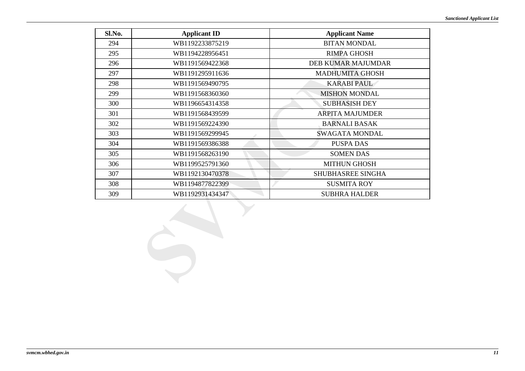| Sl.No. | <b>Applicant ID</b> | <b>Applicant Name</b>     |
|--------|---------------------|---------------------------|
| 294    | WB1192233875219     | <b>BITAN MONDAL</b>       |
| 295    | WB1194228956451     | <b>RIMPA GHOSH</b>        |
| 296    | WB1191569422368     | <b>DEB KUMAR MAJUMDAR</b> |
| 297    | WB1191295911636     | <b>MADHUMITA GHOSH</b>    |
| 298    | WB1191569490795     | <b>KARABI PAUL</b>        |
| 299    | WB1191568360360     | <b>MISHON MONDAL</b>      |
| 300    | WB1196654314358     | <b>SUBHASISH DEY</b>      |
| 301    | WB1191568439599     | <b>ARPITA MAJUMDER</b>    |
| 302    | WB1191569224390     | <b>BARNALI BASAK</b>      |
| 303    | WB1191569299945     | SWAGATA MONDAL            |
| 304    | WB1191569386388     | <b>PUSPA DAS</b>          |
| 305    | WB1191568263190     | <b>SOMEN DAS</b>          |
| 306    | WB1199525791360     | <b>MITHUN GHOSH</b>       |
| 307    | WB1192130470378     | <b>SHUBHASREE SINGHA</b>  |
| 308    | WB1194877822399     | <b>SUSMITA ROY</b>        |
| 309    | WB1192931434347     | <b>SUBHRA HALDER</b>      |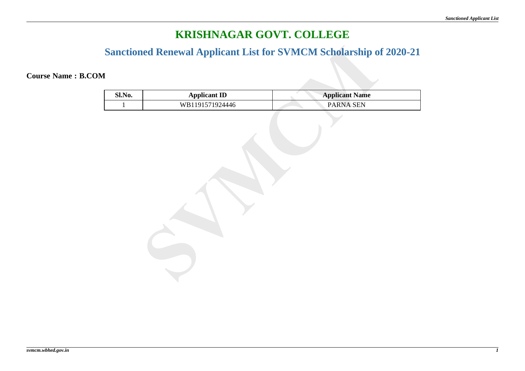### **Sanctioned Renewal Applicant List for SVMCM Scholarship of 2020-21**

**Course Name : B.COM**

| Sl.No.       | <b>Applicant ID</b> | <b>Applicant Name</b> |
|--------------|---------------------|-----------------------|
| $\mathbf{1}$ | WB1191571924446     | PARNA SEN             |
|              |                     |                       |
|              |                     |                       |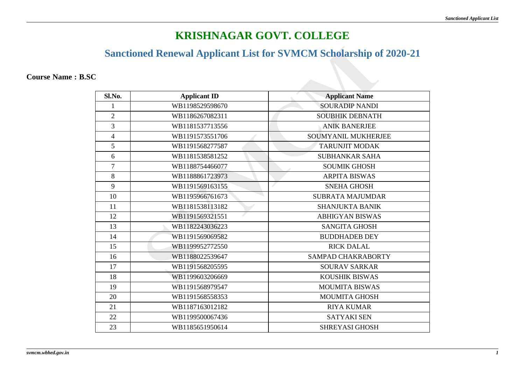## **Sanctioned Renewal Applicant List for SVMCM Scholarship of 2020-21**

**Course Name : B.SC**

| Sl.No.         | <b>Applicant ID</b> | <b>Applicant Name</b>   |
|----------------|---------------------|-------------------------|
|                | WB1198529598670     | <b>SOURADIP NANDI</b>   |
| $\overline{2}$ | WB1186267082311     | <b>SOUBHIK DEBNATH</b>  |
| $\overline{3}$ | WB1181537713556     | <b>ANIK BANERJEE</b>    |
| $\overline{4}$ | WB1191573551706     | SOUMYANIL MUKHERJEE     |
| 5              | WB1191568277587     | <b>TARUNJIT MODAK</b>   |
| 6              | WB1181538581252     | <b>SUBHANKAR SAHA</b>   |
| $\overline{7}$ | WB1188754466077     | <b>SOUMIK GHOSH</b>     |
| 8              | WB1188861723973     | <b>ARPITA BISWAS</b>    |
| 9              | WB1191569163155     | <b>SNEHA GHOSH</b>      |
| 10             | WB1195966761673     | <b>SUBRATA MAJUMDAR</b> |
| 11             | WB1181538113182     | <b>SHANJUKTA BANIK</b>  |
| 12             | WB1191569321551     | <b>ABHIGYAN BISWAS</b>  |
| 13             | WB1182243036223     | <b>SANGITA GHOSH</b>    |
| 14             | WB1191569069582     | <b>BUDDHADEB DEY</b>    |
| 15             | WB1199952772550     | <b>RICK DALAL</b>       |
| 16             | WB1188022539647     | SAMPAD CHAKRABORTY      |
| 17             | WB1191568205595     | <b>SOURAV SARKAR</b>    |
| 18             | WB1199603206669     | <b>KOUSHIK BISWAS</b>   |
| 19             | WB1191568979547     | <b>MOUMITA BISWAS</b>   |
| 20             | WB1191568558353     | <b>MOUMITA GHOSH</b>    |
| 21             | WB1187163012182     | <b>RIYA KUMAR</b>       |
| 22             | WB1199500067436     | <b>SATYAKI SEN</b>      |
| 23             | WB1185651950614     | <b>SHREYASI GHOSH</b>   |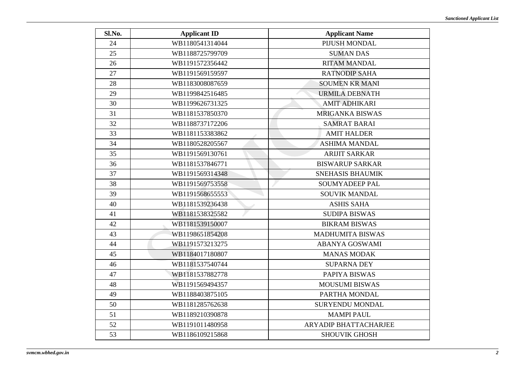| Sl.No. | <b>Applicant ID</b> | <b>Applicant Name</b>        |
|--------|---------------------|------------------------------|
| 24     | WB1180541314044     | PIJUSH MONDAL                |
| 25     | WB1188725799709     | <b>SUMAN DAS</b>             |
| 26     | WB1191572356442     | <b>RITAM MANDAL</b>          |
| 27     | WB1191569159597     | <b>RATNODIP SAHA</b>         |
| 28     | WB1183008087659     | <b>SOUMEN KR MANI</b>        |
| 29     | WB1199842516485     | <b>URMILA DEBNATH</b>        |
| 30     | WB1199626731325     | <b>AMIT ADHIKARI</b>         |
| 31     | WB1181537850370     | <b>MRIGANKA BISWAS</b>       |
| 32     | WB1188737172206     | <b>SAMRAT BARAI</b>          |
| 33     | WB1181153383862     | <b>AMIT HALDER</b>           |
| 34     | WB1180528205567     | <b>ASHIMA MANDAL</b>         |
| 35     | WB1191569130761     | <b>ARIJIT SARKAR</b>         |
| 36     | WB1181537846771     | <b>BISWARUP SARKAR</b>       |
| 37     | WB1191569314348     | <b>SNEHASIS BHAUMIK</b>      |
| 38     | WB1191569753558     | SOUMYADEEP PAL               |
| 39     | WB1191568655553     | SOUVIK MANDAL                |
| 40     | WB1181539236438     | <b>ASHIS SAHA</b>            |
| 41     | WB1181538325582     | <b>SUDIPA BISWAS</b>         |
| 42     | WB1181539150007     | <b>BIKRAM BISWAS</b>         |
| 43     | WB1198651854208     | <b>MADHUMITA BISWAS</b>      |
| 44     | WB1191573213275     | <b>ABANYA GOSWAMI</b>        |
| 45     | WB1184017180807     | <b>MANAS MODAK</b>           |
| 46     | WB1181537540744     | <b>SUPARNA DEY</b>           |
| 47     | WB1181537882778     | PAPIYA BISWAS                |
| 48     | WB1191569494357     | <b>MOUSUMI BISWAS</b>        |
| 49     | WB1188403875105     | PARTHA MONDAL                |
| 50     | WB1181285762638     | <b>SURYENDU MONDAL</b>       |
| 51     | WB1189210390878     | <b>MAMPI PAUL</b>            |
| 52     | WB1191011480958     | <b>ARYADIP BHATTACHARJEE</b> |
| 53     | WB1186109215868     | <b>SHOUVIK GHOSH</b>         |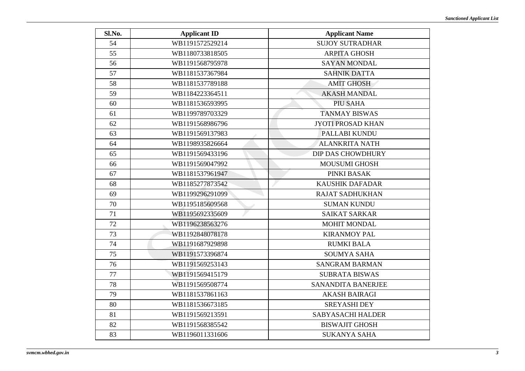| Sl.No. | <b>Applicant ID</b> | <b>Applicant Name</b>    |
|--------|---------------------|--------------------------|
| 54     | WB1191572529214     | <b>SUJOY SUTRADHAR</b>   |
| 55     | WB1180733818505     | <b>ARPITA GHOSH</b>      |
| 56     | WB1191568795978     | <b>SAYAN MONDAL</b>      |
| 57     | WB1181537367984     | <b>SAHNIK DATTA</b>      |
| 58     | WB1181537789188     | <b>AMIT GHOSH</b>        |
| 59     | WB1184223364511     | <b>AKASH MANDAL</b>      |
| 60     | WB1181536593995     | <b>PIU SAHA</b>          |
| 61     | WB1199789703329     | <b>TANMAY BISWAS</b>     |
| 62     | WB1191568986796     | <b>JYOTI PROSAD KHAN</b> |
| 63     | WB1191569137983     | PALLABI KUNDU            |
| 64     | WB1198935826664     | <b>ALANKRITA NATH</b>    |
| 65     | WB1191569433196     | <b>DIP DAS CHOWDHURY</b> |
| 66     | WB1191569047992     | <b>MOUSUMI GHOSH</b>     |
| 67     | WB1181537961947     | PINKI BASAK              |
| 68     | WB1185277873542     | <b>KAUSHIK DAFADAR</b>   |
| 69     | WB1199296291099     | <b>RAJAT SADHUKHAN</b>   |
| 70     | WB1195185609568     | <b>SUMAN KUNDU</b>       |
| 71     | WB1195692335609     | <b>SAIKAT SARKAR</b>     |
| 72     | WB1196238563276     | <b>MOHIT MONDAL</b>      |
| 73     | WB1192848078178     | <b>KIRANMOY PAL</b>      |
| 74     | WB1191687929898     | <b>RUMKI BALA</b>        |
| 75     | WB1191573396874     | <b>SOUMYA SAHA</b>       |
| 76     | WB1191569253143     | <b>SANGRAM BARMAN</b>    |
| 77     | WB1191569415179     | <b>SUBRATA BISWAS</b>    |
| 78     | WB1191569508774     | SANANDITA BANERJEE       |
| 79     | WB1181537861163     | <b>AKASH BAIRAGI</b>     |
| 80     | WB1181536673185     | <b>SREYASHI DEY</b>      |
| 81     | WB1191569213591     | <b>SABYASACHI HALDER</b> |
| 82     | WB1191568385542     | <b>BISWAJIT GHOSH</b>    |
| 83     | WB1196011331606     | <b>SUKANYA SAHA</b>      |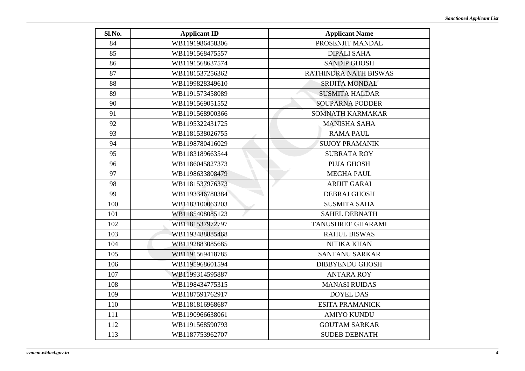| Sl.No. | <b>Applicant ID</b> | <b>Applicant Name</b>  |
|--------|---------------------|------------------------|
| 84     | WB1191986458306     | PROSENJIT MANDAL       |
| 85     | WB1191568475557     | <b>DIPALI SAHA</b>     |
| 86     | WB1191568637574     | <b>SANDIP GHOSH</b>    |
| 87     | WB1181537256362     | RATHINDRA NATH BISWAS  |
| 88     | WB1199828349610     | <b>SRIJITA MONDAL</b>  |
| 89     | WB1191573458089     | <b>SUSMITA HALDAR</b>  |
| 90     | WB1191569051552     | <b>SOUPARNA PODDER</b> |
| 91     | WB1191568900366     | SOMNATH KARMAKAR       |
| 92     | WB1195322431725     | <b>MANISHA SAHA</b>    |
| 93     | WB1181538026755     | <b>RAMA PAUL</b>       |
| 94     | WB1198780416029     | <b>SUJOY PRAMANIK</b>  |
| 95     | WB1183189663544     | <b>SUBRATA ROY</b>     |
| 96     | WB1186045827373     | <b>PUJA GHOSH</b>      |
| 97     | WB1198633808479     | <b>MEGHA PAUL</b>      |
| 98     | WB1181537976373     | <b>ARIJIT GARAI</b>    |
| 99     | WB1193346780384     | <b>DEBRAJ GHOSH</b>    |
| 100    | WB1183100063203     | <b>SUSMITA SAHA</b>    |
| 101    | WB1185408085123     | <b>SAHEL DEBNATH</b>   |
| 102    | WB1181537972797     | TANUSHREE GHARAMI      |
| 103    | WB1193488885468     | <b>RAHUL BISWAS</b>    |
| 104    | WB1192883085685     | <b>NITIKA KHAN</b>     |
| 105    | WB1191569418785     | <b>SANTANU SARKAR</b>  |
| 106    | WB1195968601594     | <b>DIBBYENDU GHOSH</b> |
| 107    | WB1199314595887     | <b>ANTARA ROY</b>      |
| 108    | WB1198434775315     | <b>MANASI RUIDAS</b>   |
| 109    | WB1187591762917     | <b>DOYEL DAS</b>       |
| 110    | WB1181816968687     | <b>ESITA PRAMANICK</b> |
| 111    | WB1190966638061     | <b>AMIYO KUNDU</b>     |
| 112    | WB1191568590793     | <b>GOUTAM SARKAR</b>   |
| 113    | WB1187753962707     | <b>SUDEB DEBNATH</b>   |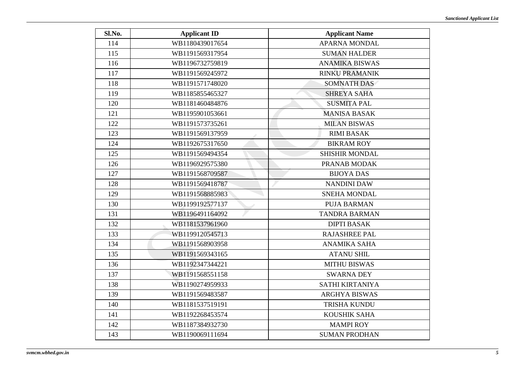| Sl.No. | <b>Applicant ID</b> | <b>Applicant Name</b> |
|--------|---------------------|-----------------------|
| 114    | WB1180439017654     | <b>APARNA MONDAL</b>  |
| 115    | WB1191569317954     | <b>SUMAN HALDER</b>   |
| 116    | WB1196732759819     | <b>ANAMIKA BISWAS</b> |
| 117    | WB1191569245972     | <b>RINKU PRAMANIK</b> |
| 118    | WB1191571748020     | SOMNATH DAS           |
| 119    | WB1185855465327     | <b>SHREYA SAHA</b>    |
| 120    | WB1181460484876     | <b>SUSMITA PAL</b>    |
| 121    | WB1195901053661     | <b>MANISA BASAK</b>   |
| 122    | WB1191573735261     | <b>MILAN BISWAS</b>   |
| 123    | WB1191569137959     | <b>RIMI BASAK</b>     |
| 124    | WB1192675317650     | <b>BIKRAM ROY</b>     |
| 125    | WB1191569494354     | <b>SHISHIR MONDAL</b> |
| 126    | WB1196929575380     | PRANAB MODAK          |
| 127    | WB1191568709587     | <b>BIJOYA DAS</b>     |
| 128    | WB1191569418787     | <b>NANDINI DAW</b>    |
| 129    | WB1191568885983     | <b>SNEHA MONDAL</b>   |
| 130    | WB1199192577137     | <b>PUJA BARMAN</b>    |
| 131    | WB1196491164092     | <b>TANDRA BARMAN</b>  |
| 132    | WB1181537961960     | <b>DIPTI BASAK</b>    |
| 133    | WB1199120545713     | <b>RAJASHREE PAL</b>  |
| 134    | WB1191568903958     | <b>ANAMIKA SAHA</b>   |
| 135    | WB1191569343165     | <b>ATANU SHIL</b>     |
| 136    | WB1192347344221     | <b>MITHU BISWAS</b>   |
| 137    | WB1191568551158     | <b>SWARNA DEY</b>     |
| 138    | WB1190274959933     | SATHI KIRTANIYA       |
| 139    | WB1191569483587     | <b>ARGHYA BISWAS</b>  |
| 140    | WB1181537519191     | TRISHA KUNDU          |
| 141    | WB1192268453574     | KOUSHIK SAHA          |
| 142    | WB1187384932730     | <b>MAMPI ROY</b>      |
| 143    | WB1190069111694     | <b>SUMAN PRODHAN</b>  |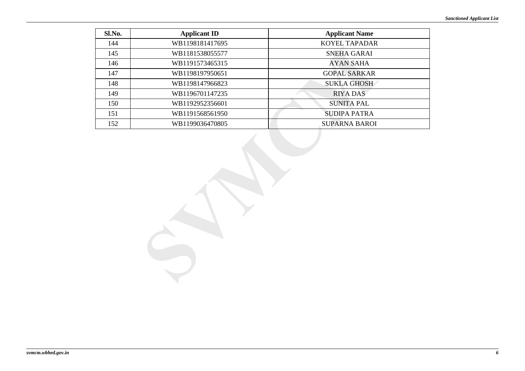| Sl.No. | <b>Applicant ID</b> | <b>Applicant Name</b> |
|--------|---------------------|-----------------------|
| 144    | WB1198181417695     | <b>KOYEL TAPADAR</b>  |
| 145    | WB1181538055577     | SNEHA GARAI           |
| 146    | WB1191573465315     | <b>AYAN SAHA</b>      |
| 147    | WB1198197950651     | <b>GOPAL SARKAR</b>   |
| 148    | WB1198147966823     | <b>SUKLA GHOSH</b>    |
| 149    | WB1196701147235     | <b>RIYA DAS</b>       |
| 150    | WB1192952356601     | <b>SUNITA PAL</b>     |
| 151    | WB1191568561950     | <b>SUDIPA PATRA</b>   |
| 152    | WB1199036470805     | <b>SUPARNA BAROI</b>  |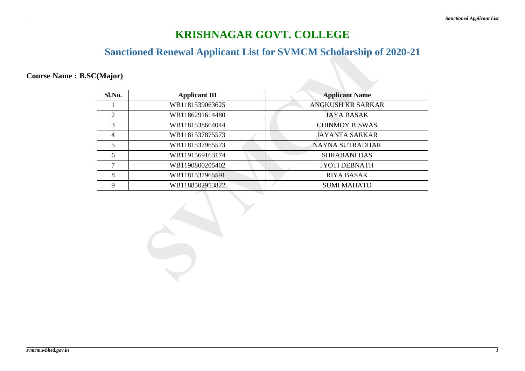### **Sanctioned Renewal Applicant List for SVMCM Scholarship of 2020-21**

### **Course Name : B.SC(Major)**

| Sl.No.         | <b>Applicant ID</b> | <b>Applicant Name</b>    |
|----------------|---------------------|--------------------------|
|                | WB1181539063625     | <b>ANGKUSH KR SARKAR</b> |
| $\overline{2}$ | WB1186291614480     | <b>JAYA BASAK</b>        |
| 3              | WB1181538664044     | <b>CHINMOY BISWAS</b>    |
| $\overline{4}$ | WB1181537875573     | <b>JAYANTA SARKAR</b>    |
| 5              | WB1181537965573     | <b>NAYNA SUTRADHAR</b>   |
| 6              | WB1191569163174     | <b>SHRABANI DAS</b>      |
|                | WB1190800205402     | <b>JYOTI DEBNATH</b>     |
| 8              | WB1181537965591     | <b>RIYA BASAK</b>        |
| Q              | WB1188502953822     | <b>SUMI MAHATO</b>       |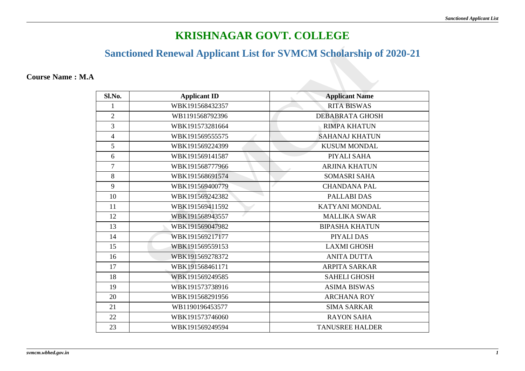## **Sanctioned Renewal Applicant List for SVMCM Scholarship of 2020-21**

#### **Course Name : M.A**

| Sl.No.         | <b>Applicant ID</b> | <b>Applicant Name</b>  |
|----------------|---------------------|------------------------|
| 1              | WBK191568432357     | <b>RITA BISWAS</b>     |
| $\overline{2}$ | WB1191568792396     | <b>DEBABRATA GHOSH</b> |
| 3              | WBK191573281664     | <b>RIMPA KHATUN</b>    |
| $\overline{4}$ | WBK191569555575     | <b>SAHANAJ KHATUN</b>  |
| 5              | WBK191569224399     | <b>KUSUM MONDAL</b>    |
| 6              | WBK191569141587     | PIYALI SAHA            |
| $\overline{7}$ | WBK191568777966     | <b>ARJINA KHATUN</b>   |
| 8              | WBK191568691574     | <b>SOMASRI SAHA</b>    |
| 9              | WBK191569400779     | <b>CHANDANA PAL</b>    |
| 10             | WBK191569242382     | PALLABI DAS            |
| 11             | WBK191569411592     | KATYANI MONDAL         |
| 12             | WBK191568943557     | <b>MALLIKA SWAR</b>    |
| 13             | WBK191569047982     | <b>BIPASHA KHATUN</b>  |
| 14             | WBK191569217177     | PIYALI DAS             |
| 15             | WBK191569559153     | <b>LAXMI GHOSH</b>     |
| 16             | WBK191569278372     | <b>ANITA DUTTA</b>     |
| 17             | WBK191568461171     | <b>ARPITA SARKAR</b>   |
| 18             | WBK191569249585     | <b>SAHELI GHOSH</b>    |
| 19             | WBK191573738916     | <b>ASIMA BISWAS</b>    |
| 20             | WBK191568291956     | <b>ARCHANA ROY</b>     |
| 21             | WB1190196453577     | <b>SIMA SARKAR</b>     |
| 22             | WBK191573746060     | <b>RAYON SAHA</b>      |
| 23             | WBK191569249594     | <b>TANUSREE HALDER</b> |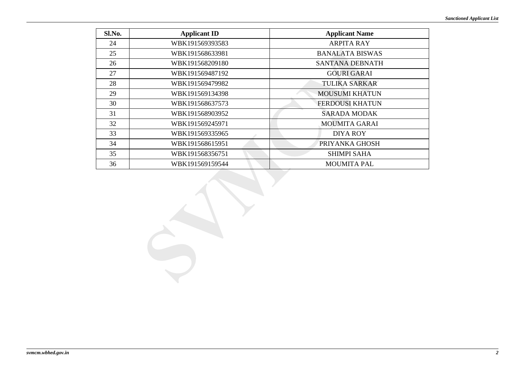| Sl.No. | <b>Applicant ID</b> | <b>Applicant Name</b>  |
|--------|---------------------|------------------------|
| 24     | WBK191569393583     | <b>ARPITA RAY</b>      |
| 25     | WBK191568633981     | <b>BANALATA BISWAS</b> |
| 26     | WBK191568209180     | SANTANA DEBNATH        |
| 27     | WBK191569487192     | <b>GOURI GARAI</b>     |
| 28     | WBK191569479982     | <b>TULIKA SARKAR</b>   |
| 29     | WBK191569134398     | <b>MOUSUMI KHATUN</b>  |
| 30     | WBK191568637573     | <b>FERDOUSI KHATUN</b> |
| 31     | WBK191568903952     | <b>SARADA MODAK</b>    |
| 32     | WBK191569245971     | <b>MOUMITA GARAI</b>   |
| 33     | WBK191569335965     | DIYA ROY               |
| 34     | WBK191568615951     | PRIYANKA GHOSH         |
| 35     | WBK191568356751     | <b>SHIMPI SAHA</b>     |
| 36     | WBK191569159544     | <b>MOUMITA PAL</b>     |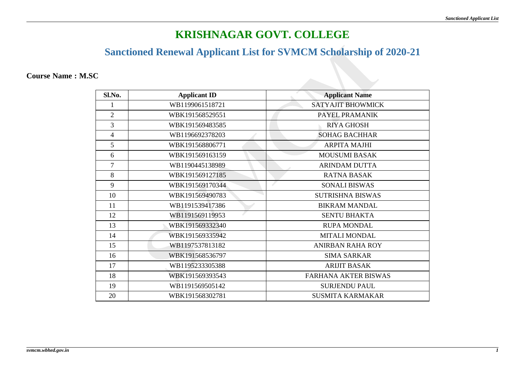### **Sanctioned Renewal Applicant List for SVMCM Scholarship of 2020-21**

**Course Name : M.SC**

| Sl.No.         | <b>Applicant ID</b> | <b>Applicant Name</b>       |
|----------------|---------------------|-----------------------------|
|                | WB1199061518721     | <b>SATYAJIT BHOWMICK</b>    |
| $\overline{2}$ | WBK191568529551     | PAYEL PRAMANIK              |
| 3              | WBK191569483585     | <b>RIYA GHOSH</b>           |
| $\overline{4}$ | WB1196692378203     | <b>SOHAG BACHHAR</b>        |
| 5              | WBK191568806771     | <b>ARPITA MAJHI</b>         |
| 6              | WBK191569163159     | <b>MOUSUMI BASAK</b>        |
| $\tau$         | WB1190445138989     | <b>ARINDAM DUTTA</b>        |
| 8              | WBK191569127185     | <b>RATNA BASAK</b>          |
| 9              | WBK191569170344     | <b>SONALI BISWAS</b>        |
| 10             | WBK191569490783     | <b>SUTRISHNA BISWAS</b>     |
| 11             | WB1191539417386     | <b>BIKRAM MANDAL</b>        |
| 12             | WB1191569119953     | <b>SENTU BHAKTA</b>         |
| 13             | WBK191569332340     | <b>RUPA MONDAL</b>          |
| 14             | WBK191569335942     | <b>MITALI MONDAL</b>        |
| 15             | WB1197537813182     | <b>ANIRBAN RAHA ROY</b>     |
| 16             | WBK191568536797     | <b>SIMA SARKAR</b>          |
| 17             | WB1195233305388     | <b>ARIJIT BASAK</b>         |
| 18             | WBK191569393543     | <b>FARHANA AKTER BISWAS</b> |
| 19             | WB1191569505142     | <b>SURJENDU PAUL</b>        |
| 20             | WBK191568302781     | <b>SUSMITA KARMAKAR</b>     |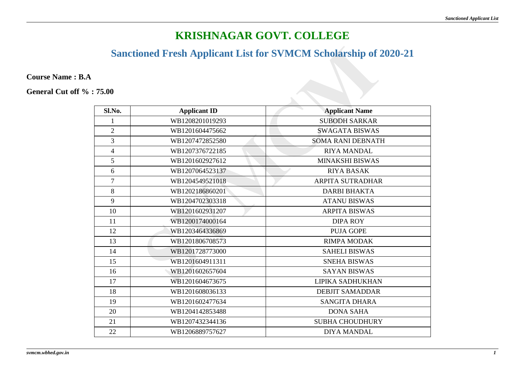# **Sanctioned Fresh Applicant List for SVMCM Scholarship of 2020-21**

**Course Name : B.A**

| Sl.No.                   | <b>Applicant ID</b> | <b>Applicant Name</b>    |
|--------------------------|---------------------|--------------------------|
| 1                        | WB1208201019293     | <b>SUBODH SARKAR</b>     |
| $\overline{2}$           | WB1201604475662     | <b>SWAGATA BISWAS</b>    |
| $\overline{3}$           | WB1207472852580     | <b>SOMA RANI DEBNATH</b> |
| $\overline{\mathcal{L}}$ | WB1207376722185     | <b>RIYA MANDAL</b>       |
| 5                        | WB1201602927612     | <b>MINAKSHI BISWAS</b>   |
| 6                        | WB1207064523137     | <b>RIYA BASAK</b>        |
| $\tau$                   | WB1204549521018     | <b>ARPITA SUTRADHAR</b>  |
| 8                        | WB1202186860201     | <b>DARBI BHAKTA</b>      |
| 9                        | WB1204702303318     | <b>ATANU BISWAS</b>      |
| 10                       | WB1201602931207     | <b>ARPITA BISWAS</b>     |
| 11                       | WB1200174000164     | <b>DIPA ROY</b>          |
| 12                       | WB1203464336869     | <b>PUJA GOPE</b>         |
| 13                       | WB1201806708573     | <b>RIMPA MODAK</b>       |
| 14                       | WB1201728773000     | <b>SAHELI BISWAS</b>     |
| 15                       | WB1201604911311     | <b>SNEHA BISWAS</b>      |
| 16                       | WB1201602657604     | <b>SAYAN BISWAS</b>      |
| 17                       | WB1201604673675     | <b>LIPIKA SADHUKHAN</b>  |
| 18                       | WB1201608036133     | <b>DEBJIT SAMADDAR</b>   |
| 19                       | WB1201602477634     | <b>SANGITA DHARA</b>     |
| 20                       | WB1204142853488     | <b>DONA SAHA</b>         |
| 21                       | WB1207432344136     | <b>SUBHA CHOUDHURY</b>   |
| 22                       | WB1206889757627     | <b>DIYA MANDAL</b>       |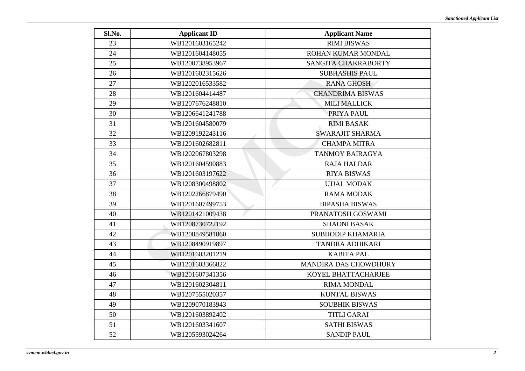| Sl.No. | <b>Applicant ID</b> | <b>Applicant Name</b>        |
|--------|---------------------|------------------------------|
| 23     | WB1201603165242     | <b>RIMI BISWAS</b>           |
| 24     | WB1201604148055     | ROHAN KUMAR MONDAL           |
| 25     | WB1200738953967     | SANGITA CHAKRABORTY          |
| 26     | WB1201602315626     | <b>SUBHASHIS PAUL</b>        |
| 27     | WB1202016533582     | <b>RANA GHOSH</b>            |
| 28     | WB1201604414487     | <b>CHANDRIMA BISWAS</b>      |
| 29     | WB1207676248810     | <b>MILI MALLICK</b>          |
| 30     | WB1206641241788     | PRIYA PAUL                   |
| 31     | WB1201604580079     | <b>RIMI BASAK</b>            |
| 32     | WB1209192243116     | <b>SWARAJIT SHARMA</b>       |
| 33     | WB1201602682811     | <b>CHAMPA MITRA</b>          |
| 34     | WB1202067803298     | <b>TANMOY BAIRAGYA</b>       |
| 35     | WB1201604590883     | <b>RAJA HALDAR</b>           |
| 36     | WB1201603197622     | <b>RIYA BISWAS</b>           |
| 37     | WB1208300498802     | <b>UJJAL MODAK</b>           |
| 38     | WB1202266879490     | <b>RAMA MODAK</b>            |
| 39     | WB1201607499753     | <b>BIPASHA BISWAS</b>        |
| 40     | WB1201421009438     | PRANATOSH GOSWAMI            |
| 41     | WB1208730722192     | <b>SHAONI BASAK</b>          |
| 42     | WB1208849581860     | <b>SUBHODIP KHAMARIA</b>     |
| 43     | WB1208490919897     | <b>TANDRA ADHIKARI</b>       |
| 44     | WB1201603201219     | <b>KABITA PAL</b>            |
| 45     | WB1201603366822     | <b>MANDIRA DAS CHOWDHURY</b> |
| 46     | WB1201607341356     | KOYEL BHATTACHARJEE          |
| 47     | WB1201602304811     | <b>RIMA MONDAL</b>           |
| 48     | WB1207555020357     | <b>KUNTAL BISWAS</b>         |
| 49     | WB1209070183943     | <b>SOUBHIK BISWAS</b>        |
| 50     | WB1201603892402     | <b>TITLI GARAI</b>           |
| 51     | WB1201603341607     | <b>SATHI BISWAS</b>          |
| 52     | WB1205593024264     | <b>SANDIP PAUL</b>           |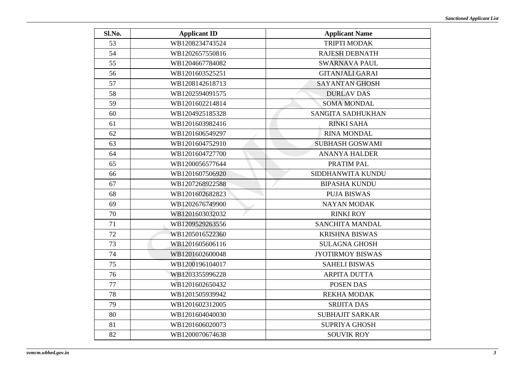| Sl.No. | <b>Applicant ID</b> | <b>Applicant Name</b>   |
|--------|---------------------|-------------------------|
| 53     | WB1208234743524     | <b>TRIPTI MODAK</b>     |
| 54     | WB1202657550816     | <b>RAJESH DEBNATH</b>   |
| 55     | WB1204667784082     | <b>SWARNAVA PAUL</b>    |
| 56     | WB1201603525251     | <b>GITANJALI GARAI</b>  |
| 57     | WB1208142618713     | <b>SAYANTAN GHOSH</b>   |
| 58     | WB1202594091575     | <b>DURLAV DAS</b>       |
| 59     | WB1201602214814     | <b>SOMA MONDAL</b>      |
| 60     | WB1204925185328     | SANGITA SADHUKHAN       |
| 61     | WB1201603982416     | <b>RINKI SAHA</b>       |
| 62     | WB1201606549297     | <b>RINA MONDAL</b>      |
| 63     | WB1201604752910     | <b>SUBHASH GOSWAMI</b>  |
| 64     | WB1201604727700     | <b>ANANYA HALDER</b>    |
| 65     | WB1200056577644     | PRATIM PAL              |
| 66     | WB1201607506920     | SIDDHANWITA KUNDU       |
| 67     | WB1207268922588     | <b>BIPASHA KUNDU</b>    |
| 68     | WB1201602682823     | <b>PUJA BISWAS</b>      |
| 69     | WB1202676749900     | <b>NAYAN MODAK</b>      |
| 70     | WB1201603032032     | <b>RINKI ROY</b>        |
| 71     | WB1209529263556     | <b>SANCHITA MANDAL</b>  |
| 72     | WB1205016522360     | <b>KRISHNA BISWAS</b>   |
| 73     | WB1201605606116     | <b>SULAGNA GHOSH</b>    |
| 74     | WB1201602600048     | <b>JYOTIRMOY BISWAS</b> |
| 75     | WB1200196104017     | <b>SAHELI BISWAS</b>    |
| 76     | WB1203355996228     | <b>ARPITA DUTTA</b>     |
| 77     | WB1201602650432     | POSEN DAS               |
| 78     | WB1201505939942     | <b>REKHA MODAK</b>      |
| 79     | WB1201602312005     | <b>SRIJITA DAS</b>      |
| 80     | WB1201604040030     | <b>SUBHAJIT SARKAR</b>  |
| 81     | WB1201606020073     | <b>SUPRIYA GHOSH</b>    |
| 82     | WB1200070674638     | <b>SOUVIK ROY</b>       |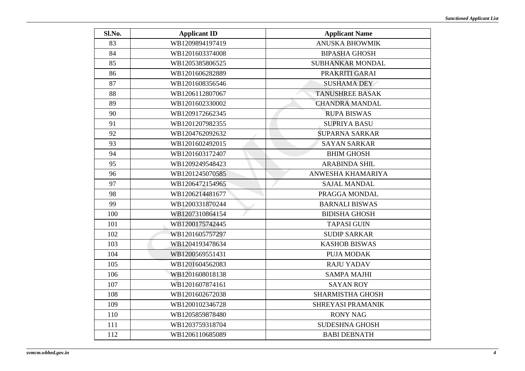| Sl.No. | <b>Applicant ID</b> | <b>Applicant Name</b>   |
|--------|---------------------|-------------------------|
| 83     | WB1209894197419     | <b>ANUSKA BHOWMIK</b>   |
| 84     | WB1201603374008     | <b>BIPASHA GHOSH</b>    |
| 85     | WB1205385806525     | <b>SUBHANKAR MONDAL</b> |
| 86     | WB1201606282889     | PRAKRITI GARAI          |
| 87     | WB1201608356546     | <b>SUSHAMA DEY</b>      |
| 88     | WB1206112807067     | <b>TANUSHREE BASAK</b>  |
| 89     | WB1201602330002     | <b>CHANDRA MANDAL</b>   |
| 90     | WB1209172662345     | <b>RUPA BISWAS</b>      |
| 91     | WB1201207982355     | <b>SUPRIYA BASU</b>     |
| 92     | WB1204762092632     | <b>SUPARNA SARKAR</b>   |
| 93     | WB1201602492015     | <b>SAYAN SARKAR</b>     |
| 94     | WB1201603172407     | <b>BHIM GHOSH</b>       |
| 95     | WB1209249548423     | <b>ARABINDA SHIL</b>    |
| 96     | WB1201245070585     | ANWESHA KHAMARIYA       |
| 97     | WB1206472154965     | <b>SAJAL MANDAL</b>     |
| 98     | WB1206214481677     | PRAGGA MONDAL           |
| 99     | WB1200331870244     | <b>BARNALI BISWAS</b>   |
| 100    | WB1207310864154     | <b>BIDISHA GHOSH</b>    |
| 101    | WB1200175742445     | <b>TAPASI GUIN</b>      |
| 102    | WB1201605757297     | <b>SUDIP SARKAR</b>     |
| 103    | WB1204193478634     | <b>KASHOB BISWAS</b>    |
| 104    | WB1200569551431     | PUJA MODAK              |
| 105    | WB1201604562083     | <b>RAJU YADAV</b>       |
| 106    | WB1201608018138     | <b>SAMPA MAJHI</b>      |
| 107    | WB1201607874161     | <b>SAYAN ROY</b>        |
| 108    | WB1201602672038     | SHARMISTHA GHOSH        |
| 109    | WB1200102346728     | SHREYASI PRAMANIK       |
| 110    | WB1205859878480     | <b>RONY NAG</b>         |
| 111    | WB1203759318704     | <b>SUDESHNA GHOSH</b>   |
| 112    | WB1206110685089     | <b>BABI DEBNATH</b>     |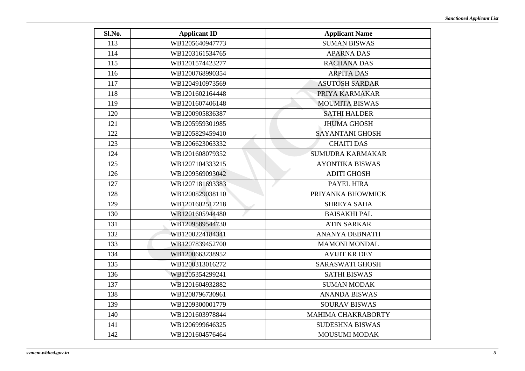| Sl.No. | <b>Applicant ID</b> | <b>Applicant Name</b>   |
|--------|---------------------|-------------------------|
| 113    | WB1205640947773     | <b>SUMAN BISWAS</b>     |
| 114    | WB1203161534765     | <b>APARNA DAS</b>       |
| 115    | WB1201574423277     | <b>RACHANA DAS</b>      |
| 116    | WB1200768990354     | <b>ARPITA DAS</b>       |
| 117    | WB1204910973569     | <b>ASUTOSH SARDAR</b>   |
| 118    | WB1201602164448     | PRIYA KARMAKAR          |
| 119    | WB1201607406148     | <b>MOUMITA BISWAS</b>   |
| 120    | WB1200905836387     | <b>SATHI HALDER</b>     |
| 121    | WB1205959301985     | <b>JHUMA GHOSH</b>      |
| 122    | WB1205829459410     | <b>SAYANTANI GHOSH</b>  |
| 123    | WB1206623063332     | <b>CHAITI DAS</b>       |
| 124    | WB1201608079352     | <b>SUMUDRA KARMAKAR</b> |
| 125    | WB1207104333215     | <b>AYONTIKA BISWAS</b>  |
| 126    | WB1209569093042     | <b>ADITI GHOSH</b>      |
| 127    | WB1207181693383     | PAYEL HIRA              |
| 128    | WB1200529038110     | PRIYANKA BHOWMICK       |
| 129    | WB1201602517218     | <b>SHREYA SAHA</b>      |
| 130    | WB1201605944480     | <b>BAISAKHI PAL</b>     |
| 131    | WB1209589544730     | <b>ATIN SARKAR</b>      |
| 132    | WB1200224184341     | <b>ANANYA DEBNATH</b>   |
| 133    | WB1207839452700     | <b>MAMONI MONDAL</b>    |
| 134    | WB1200663238952     | <b>AVIJIT KR DEY</b>    |
| 135    | WB1200313016272     | <b>SARASWATI GHOSH</b>  |
| 136    | WB1205354299241     | <b>SATHI BISWAS</b>     |
| 137    | WB1201604932882     | <b>SUMAN MODAK</b>      |
| 138    | WB1208796730961     | <b>ANANDA BISWAS</b>    |
| 139    | WB1209300001779     | <b>SOURAV BISWAS</b>    |
| 140    | WB1201603978844     | MAHIMA CHAKRABORTY      |
| 141    | WB1206999646325     | <b>SUDESHNA BISWAS</b>  |
| 142    | WB1201604576464     | MOUSUMI MODAK           |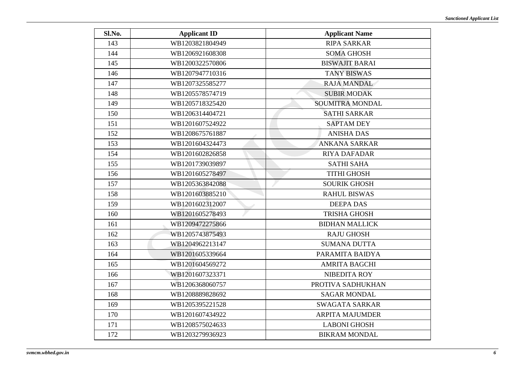| Sl.No. | <b>Applicant ID</b> | <b>Applicant Name</b>  |
|--------|---------------------|------------------------|
| 143    | WB1203821804949     | <b>RIPA SARKAR</b>     |
| 144    | WB1206921608308     | <b>SOMA GHOSH</b>      |
| 145    | WB1200322570806     | <b>BISWAJIT BARAI</b>  |
| 146    | WB1207947710316     | <b>TANY BISWAS</b>     |
| 147    | WB1207325585277     | <b>RAJA MANDAL</b>     |
| 148    | WB1205578574719     | <b>SUBIR MODAK</b>     |
| 149    | WB1205718325420     | <b>SOUMITRA MONDAL</b> |
| 150    | WB1206314404721     | <b>SATHI SARKAR</b>    |
| 151    | WB1201607524922     | <b>SAPTAM DEY</b>      |
| 152    | WB1208675761887     | <b>ANISHA DAS</b>      |
| 153    | WB1201604324473     | <b>ANKANA SARKAR</b>   |
| 154    | WB1201602826858     | <b>RIYA DAFADAR</b>    |
| 155    | WB1201739039897     | <b>SATHI SAHA</b>      |
| 156    | WB1201605278497     | <b>TITHI GHOSH</b>     |
| 157    | WB1205363842088     | <b>SOURIK GHOSH</b>    |
| 158    | WB1201603885210     | <b>RAHUL BISWAS</b>    |
| 159    | WB1201602312007     | <b>DEEPA DAS</b>       |
| 160    | WB1201605278493     | <b>TRISHA GHOSH</b>    |
| 161    | WB1209472275866     | <b>BIDHAN MALLICK</b>  |
| 162    | WB1205743875493     | <b>RAJU GHOSH</b>      |
| 163    | WB1204962213147     | <b>SUMANA DUTTA</b>    |
| 164    | WB1201605339664     | PARAMITA BAIDYA        |
| 165    | WB1201604569272     | <b>AMRITA BAGCHI</b>   |
| 166    | WB1201607323371     | <b>NIBEDITA ROY</b>    |
| 167    | WB1206368060757     | PROTIVA SADHUKHAN      |
| 168    | WB1208889828692     | <b>SAGAR MONDAL</b>    |
| 169    | WB1205395221528     | <b>SWAGATA SARKAR</b>  |
| 170    | WB1201607434922     | <b>ARPITA MAJUMDER</b> |
| 171    | WB1208575024633     | <b>LABONI GHOSH</b>    |
| 172    | WB1203279936923     | <b>BIKRAM MONDAL</b>   |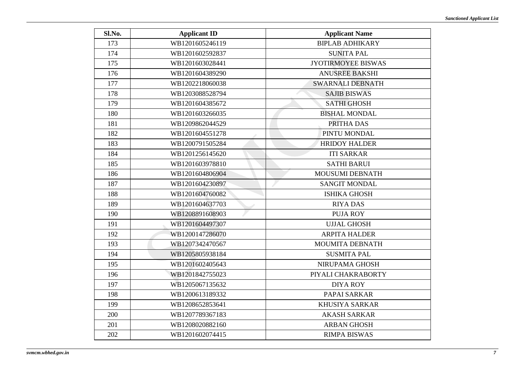| Sl.No. | <b>Applicant ID</b> | <b>Applicant Name</b>     |
|--------|---------------------|---------------------------|
| 173    | WB1201605246119     | <b>BIPLAB ADHIKARY</b>    |
| 174    | WB1201602592837     | <b>SUNITA PAL</b>         |
| 175    | WB1201603028441     | <b>JYOTIRMOYEE BISWAS</b> |
| 176    | WB1201604389290     | <b>ANUSREE BAKSHI</b>     |
| 177    | WB1202218060038     | <b>SWARNALI DEBNATH</b>   |
| 178    | WB1203088528794     | <b>SAJIB BISWAS</b>       |
| 179    | WB1201604385672     | <b>SATHI GHOSH</b>        |
| 180    | WB1201603266035     | <b>BISHAL MONDAL</b>      |
| 181    | WB1209862044529     | PRITHA DAS                |
| 182    | WB1201604551278     | PINTU MONDAL              |
| 183    | WB1200791505284     | <b>HRIDOY HALDER</b>      |
| 184    | WB1201256145620     | <b>ITI SARKAR</b>         |
| 185    | WB1201603978810     | <b>SATHI BARUI</b>        |
| 186    | WB1201604806904     | MOUSUMI DEBNATH           |
| 187    | WB1201604230897     | <b>SANGIT MONDAL</b>      |
| 188    | WB1201604760082     | <b>ISHIKA GHOSH</b>       |
| 189    | WB1201604637703     | <b>RIYA DAS</b>           |
| 190    | WB1208891608903     | <b>PUJA ROY</b>           |
| 191    | WB1201604497307     | <b>UJJAL GHOSH</b>        |
| 192    | WB1200147286070     | <b>ARPITA HALDER</b>      |
| 193    | WB1207342470567     | MOUMITA DEBNATH           |
| 194    | WB1205805938184     | <b>SUSMITA PAL</b>        |
| 195    | WB1201602405643     | NIRUPAMA GHOSH            |
| 196    | WB1201842755023     | PIYALI CHAKRABORTY        |
| 197    | WB1205067135632     | <b>DIYA ROY</b>           |
| 198    | WB1200613189332     | PAPAI SARKAR              |
| 199    | WB1208652853641     | <b>KHUSIYA SARKAR</b>     |
| 200    | WB1207789367183     | <b>AKASH SARKAR</b>       |
| 201    | WB1208020882160     | <b>ARBAN GHOSH</b>        |
| 202    | WB1201602074415     | <b>RIMPA BISWAS</b>       |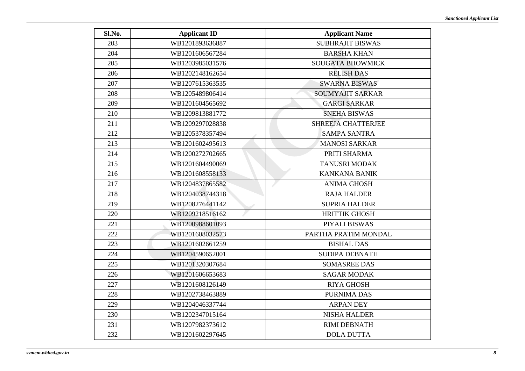| Sl.No. | <b>Applicant ID</b> | <b>Applicant Name</b>     |
|--------|---------------------|---------------------------|
| 203    | WB1201893636887     | <b>SUBHRAJIT BISWAS</b>   |
| 204    | WB1201606567284     | <b>BARSHA KHAN</b>        |
| 205    | WB1203985031576     | <b>SOUGATA BHOWMICK</b>   |
| 206    | WB1202148162654     | <b>RELISH DAS</b>         |
| 207    | WB1207615363535     | <b>SWARNA BISWAS</b>      |
| 208    | WB1205489806414     | <b>SOUMYAJIT SARKAR</b>   |
| 209    | WB1201604565692     | <b>GARGI SARKAR</b>       |
| 210    | WB1209813881772     | <b>SNEHA BISWAS</b>       |
| 211    | WB1209297028838     | <b>SHREEJA CHATTERJEE</b> |
| 212    | WB1205378357494     | <b>SAMPA SANTRA</b>       |
| 213    | WB1201602495613     | <b>MANOSI SARKAR</b>      |
| 214    | WB1200272702665     | PRITI SHARMA              |
| 215    | WB1201604490069     | <b>TANUSRI MODAK</b>      |
| 216    | WB1201608558133     | <b>KANKANA BANIK</b>      |
| 217    | WB1204837865582     | <b>ANIMA GHOSH</b>        |
| 218    | WB1204038744318     | <b>RAJA HALDER</b>        |
| 219    | WB1208276441142     | <b>SUPRIA HALDER</b>      |
| 220    | WB1209218516162     | <b>HRITTIK GHOSH</b>      |
| 221    | WB1200988601093     | PIYALI BISWAS             |
| 222    | WB1201608032573     | PARTHA PRATIM MONDAL      |
| 223    | WB1201602661259     | <b>BISHAL DAS</b>         |
| 224    | WB1204590652001     | <b>SUDIPA DEBNATH</b>     |
| 225    | WB1201320307684     | <b>SOMASREE DAS</b>       |
| 226    | WB1201606653683     | <b>SAGAR MODAK</b>        |
| 227    | WB1201608126149     | <b>RIYA GHOSH</b>         |
| 228    | WB1202738463889     | PURNIMA DAS               |
| 229    | WB1204046337744     | <b>ARPAN DEY</b>          |
| 230    | WB1202347015164     | <b>NISHA HALDER</b>       |
| 231    | WB1207982373612     | <b>RIMI DEBNATH</b>       |
| 232    | WB1201602297645     | <b>DOLA DUTTA</b>         |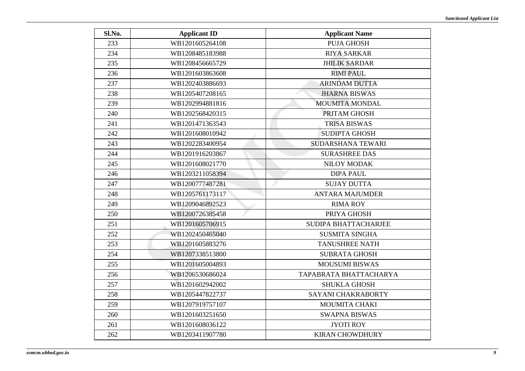| Sl.No. | <b>Applicant ID</b> | <b>Applicant Name</b>    |
|--------|---------------------|--------------------------|
| 233    | WB1201605264108     | <b>PUJA GHOSH</b>        |
| 234    | WB1208485183988     | <b>RIYA SARKAR</b>       |
| 235    | WB1208456665729     | <b>JHILIK SARDAR</b>     |
| 236    | WB1201603863608     | <b>RIMI PAUL</b>         |
| 237    | WB1202403886693     | <b>ARINDAM DUTTA</b>     |
| 238    | WB1205407208165     | <b>JHARNA BISWAS</b>     |
| 239    | WB1202994881816     | <b>MOUMITA MONDAL</b>    |
| 240    | WB1202568420315     | PRITAM GHOSH             |
| 241    | WB1201471363543     | <b>TRISA BISWAS</b>      |
| 242    | WB1201608010942     | <b>SUDIPTA GHOSH</b>     |
| 243    | WB1202283400954     | <b>SUDARSHANA TEWARI</b> |
| 244    | WB1201916203867     | <b>SURASHREE DAS</b>     |
| 245    | WB1201608021770     | <b>NILOY MODAK</b>       |
| 246    | WB1203211058394     | <b>DIPA PAUL</b>         |
| 247    | WB1200777487281     | <b>SUJAY DUTTA</b>       |
| 248    | WB1205761173117     | <b>ANTARA MAJUMDER</b>   |
| 249    | WB1209046892523     | <b>RIMA ROY</b>          |
| 250    | WB1200726385458     | PRIYA GHOSH              |
| 251    | WB1201605706915     | SUDIPA BHATTACHARJEE     |
| 252    | WB1202450465040     | <b>SUSMITA SINGHA</b>    |
| 253    | WB1201605883276     | <b>TANUSHREE NATH</b>    |
| 254    | WB1207338513800     | <b>SUBRATA GHOSH</b>     |
| 255    | WB1201605004893     | <b>MOUSUMI BISWAS</b>    |
| 256    | WB1206530686024     | TAPABRATA BHATTACHARYA   |
| 257    | WB1201602942002     | <b>SHUKLA GHOSH</b>      |
| 258    | WB1205447822737     | SAYANI CHAKRABORTY       |
| 259    | WB1207919757107     | MOUMITA CHAKI            |
| 260    | WB1201603251650     | <b>SWAPNA BISWAS</b>     |
| 261    | WB1201608036122     | <b>JYOTI ROY</b>         |
| 262    | WB1203411907780     | <b>KIRAN CHOWDHURY</b>   |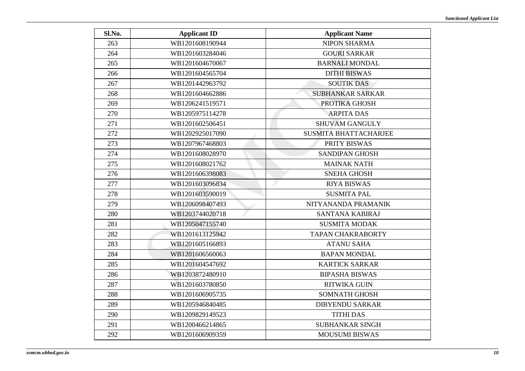| Sl.No. | <b>Applicant ID</b> | <b>Applicant Name</b>        |
|--------|---------------------|------------------------------|
| 263    | WB1201608190944     | <b>NIPON SHARMA</b>          |
| 264    | WB1201603284046     | <b>GOURI SARKAR</b>          |
| 265    | WB1201604670067     | <b>BARNALI MONDAL</b>        |
| 266    | WB1201604565704     | <b>DITHI BISWAS</b>          |
| 267    | WB1201442963792     | <b>SOUTIK DAS</b>            |
| 268    | WB1201604662886     | <b>SUBHANKAR SARKAR</b>      |
| 269    | WB1206241519571     | PROTIKA GHOSH                |
| 270    | WB1205975114278     | <b>ARPITA DAS</b>            |
| 271    | WB1201602506451     | <b>SHUVAM GANGULY</b>        |
| 272    | WB1202925017090     | <b>SUSMITA BHATTACHARJEE</b> |
| 273    | WB1207967468803     | PRITY BISWAS                 |
| 274    | WB1201608028970     | <b>SANDIPAN GHOSH</b>        |
| 275    | WB1201608021762     | <b>MAINAK NATH</b>           |
| 276    | WB1201606398083     | <b>SNEHA GHOSH</b>           |
| 277    | WB1201603096834     | <b>RIYA BISWAS</b>           |
| 278    | WB1201603590019     | <b>SUSMITA PAL</b>           |
| 279    | WB1206098407493     | NITYANANDA PRAMANIK          |
| 280    | WB1203744020718     | SANTANA KABIRAJ              |
| 281    | WB1205047155740     | <b>SUSMITA MODAK</b>         |
| 282    | WB1201613125942     | <b>TAPAN CHAKRABORTY</b>     |
| 283    | WB1201605166893     | <b>ATANU SAHA</b>            |
| 284    | WB1201606560063     | <b>BAPAN MONDAL</b>          |
| 285    | WB1201604547692     | <b>KARTICK SARKAR</b>        |
| 286    | WB1203872480910     | <b>BIPASHA BISWAS</b>        |
| 287    | WB1201603780850     | <b>RITWIKA GUIN</b>          |
| 288    | WB1201606905735     | <b>SOMNATH GHOSH</b>         |
| 289    | WB1205946840485     | <b>DIBYENDU SARKAR</b>       |
| 290    | WB1209829149523     | <b>TITHI DAS</b>             |
| 291    | WB1200466214865     | <b>SUBHANKAR SINGH</b>       |
| 292    | WB1201606909359     | <b>MOUSUMI BISWAS</b>        |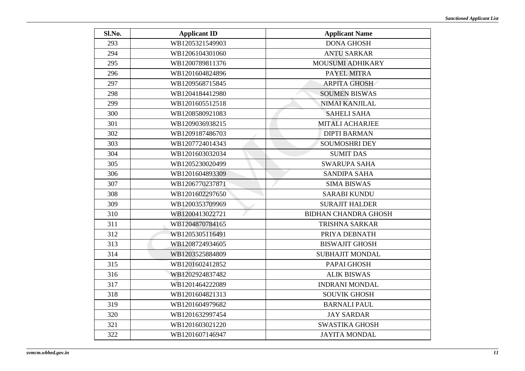| Sl.No. | <b>Applicant ID</b> | <b>Applicant Name</b>       |
|--------|---------------------|-----------------------------|
| 293    | WB1205321549903     | <b>DONA GHOSH</b>           |
| 294    | WB1206104301060     | <b>ANTU SARKAR</b>          |
| 295    | WB1200789811376     | MOUSUMI ADHIKARY            |
| 296    | WB1201604824896     | PAYEL MITRA                 |
| 297    | WB1209568715845     | <b>ARPITA GHOSH</b>         |
| 298    | WB1204184412980     | <b>SOUMEN BISWAS</b>        |
| 299    | WB1201605512518     | <b>NIMAI KANJILAL</b>       |
| 300    | WB1208580921083     | <b>SAHELI SAHA</b>          |
| 301    | WB1209036938215     | <b>MITALI ACHARJEE</b>      |
| 302    | WB1209187486703     | <b>DIPTI BARMAN</b>         |
| 303    | WB1207724014343     | <b>SOUMOSHRI DEY</b>        |
| 304    | WB1201603032034     | <b>SUMIT DAS</b>            |
| 305    | WB1205230020499     | <b>SWARUPA SAHA</b>         |
| 306    | WB1201604893309     | <b>SANDIPA SAHA</b>         |
| 307    | WB1206770237871     | <b>SIMA BISWAS</b>          |
| 308    | WB1201602297650     | <b>SARABI KUNDU</b>         |
| 309    | WB1200353709969     | <b>SURAJIT HALDER</b>       |
| 310    | WB1200413022721     | <b>BIDHAN CHANDRA GHOSH</b> |
| 311    | WB1204870784165     | <b>TRISHNA SARKAR</b>       |
| 312    | WB1205305116491     | PRIYA DEBNATH               |
| 313    | WB1208724934605     | <b>BISWAJIT GHOSH</b>       |
| 314    | WB1203525884809     | <b>SUBHAJIT MONDAL</b>      |
| 315    | WB1201602412852     | PAPAI GHOSH                 |
| 316    | WB1202924837482     | <b>ALIK BISWAS</b>          |
| 317    | WB1201464222089     | <b>INDRANI MONDAL</b>       |
| 318    | WB1201604821313     | <b>SOUVIK GHOSH</b>         |
| 319    | WB1201604979682     | <b>BARNALI PAUL</b>         |
| 320    | WB1201632997454     | <b>JAY SARDAR</b>           |
| 321    | WB1201603021220     | <b>SWASTIKA GHOSH</b>       |
| 322    | WB1201607146947     | <b>JAYITA MONDAL</b>        |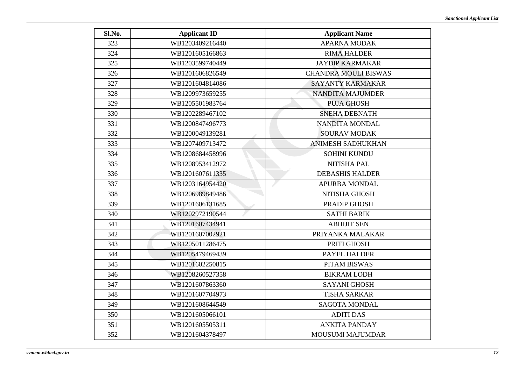| Sl.No. | <b>Applicant ID</b> | <b>Applicant Name</b>       |
|--------|---------------------|-----------------------------|
| 323    | WB1203409216440     | <b>APARNA MODAK</b>         |
| 324    | WB1201605166863     | <b>RIMA HALDER</b>          |
| 325    | WB1203599740449     | <b>JAYDIP KARMAKAR</b>      |
| 326    | WB1201606826549     | <b>CHANDRA MOULI BISWAS</b> |
| 327    | WB1201604814086     | <b>SAYANTY KARMAKAR</b>     |
| 328    | WB1209973659255     | <b>NANDITA MAJUMDER</b>     |
| 329    | WB1205501983764     | <b>PUJA GHOSH</b>           |
| 330    | WB1202289467102     | <b>SNEHA DEBNATH</b>        |
| 331    | WB1200847496773     | NANDITA MONDAL              |
| 332    | WB1200049139281     | <b>SOURAV MODAK</b>         |
| 333    | WB1207409713472     | <b>ANIMESH SADHUKHAN</b>    |
| 334    | WB1208684458996     | <b>SOHINI KUNDU</b>         |
| 335    | WB1208953412972     | NITISHA PAL                 |
| 336    | WB1201607611335     | <b>DEBASHIS HALDER</b>      |
| 337    | WB1203164954420     | APURBA MONDAL               |
| 338    | WB1206989849486     | NITISHA GHOSH               |
| 339    | WB1201606131685     | PRADIP GHOSH                |
| 340    | WB1202972190544     | <b>SATHI BARIK</b>          |
| 341    | WB1201607434941     | <b>ABHIJIT SEN</b>          |
| 342    | WB1201607002921     | PRIYANKA MALAKAR            |
| 343    | WB1205011286475     | PRITI GHOSH                 |
| 344    | WB1205479469439     | PAYEL HALDER                |
| 345    | WB1201602250815     | PITAM BISWAS                |
| 346    | WB1208260527358     | <b>BIKRAM LODH</b>          |
| 347    | WB1201607863360     | <b>SAYANI GHOSH</b>         |
| 348    | WB1201607704973     | <b>TISHA SARKAR</b>         |
| 349    | WB1201608644549     | <b>SAGOTA MONDAL</b>        |
| 350    | WB1201605066101     | <b>ADITI DAS</b>            |
| 351    | WB1201605505311     | <b>ANKITA PANDAY</b>        |
| 352    | WB1201604378497     | MOUSUMI MAJUMDAR            |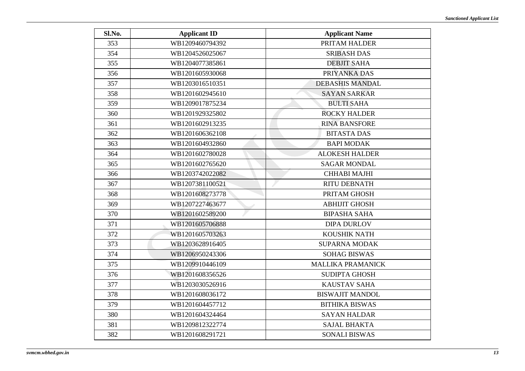| Sl.No. | <b>Applicant ID</b> | <b>Applicant Name</b>    |
|--------|---------------------|--------------------------|
| 353    | WB1209460794392     | PRITAM HALDER            |
| 354    | WB1204526025067     | <b>SRIBASH DAS</b>       |
| 355    | WB1204077385861     | <b>DEBJIT SAHA</b>       |
| 356    | WB1201605930068     | PRIYANKA DAS             |
| 357    | WB1203016510351     | <b>DEBASHIS MANDAL</b>   |
| 358    | WB1201602945610     | <b>SAYAN SARKAR</b>      |
| 359    | WB1209017875234     | <b>BULTI SAHA</b>        |
| 360    | WB1201929325802     | <b>ROCKY HALDER</b>      |
| 361    | WB1201602913235     | <b>RINA BANSFORE</b>     |
| 362    | WB1201606362108     | <b>BITASTA DAS</b>       |
| 363    | WB1201604932860     | <b>BAPI MODAK</b>        |
| 364    | WB1201602780028     | <b>ALOKESH HALDER</b>    |
| 365    | WB1201602765620     | <b>SAGAR MONDAL</b>      |
| 366    | WB1203742022082     | CHHABI MAJHI             |
| 367    | WB1207381100521     | <b>RITU DEBNATH</b>      |
| 368    | WB1201608273778     | PRITAM GHOSH             |
| 369    | WB1207227463677     | <b>ABHIJIT GHOSH</b>     |
| 370    | WB1201602589200     | <b>BIPASHA SAHA</b>      |
| 371    | WB1201605706888     | <b>DIPA DURLOV</b>       |
| 372    | WB1201605703263     | KOUSHIK NATH             |
| 373    | WB1203628916405     | <b>SUPARNA MODAK</b>     |
| 374    | WB1206950243306     | <b>SOHAG BISWAS</b>      |
| 375    | WB1209910446109     | <b>MALLIKA PRAMANICK</b> |
| 376    | WB1201608356526     | <b>SUDIPTA GHOSH</b>     |
| 377    | WB1203030526916     | <b>KAUSTAV SAHA</b>      |
| 378    | WB1201608036172     | <b>BISWAJIT MANDOL</b>   |
| 379    | WB1201604457712     | <b>BITHIKA BISWAS</b>    |
| 380    | WB1201604324464     | <b>SAYAN HALDAR</b>      |
| 381    | WB1209812322774     | <b>SAJAL BHAKTA</b>      |
| 382    | WB1201608291721     | <b>SONALI BISWAS</b>     |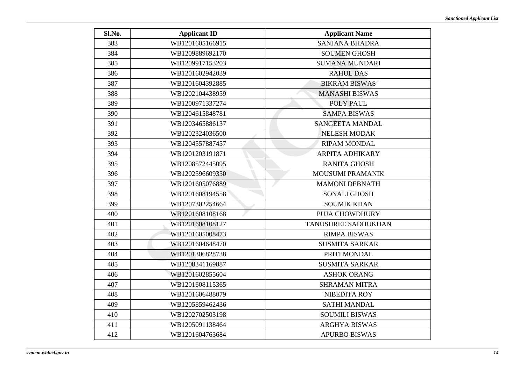| Sl.No. | <b>Applicant ID</b> | <b>Applicant Name</b>  |
|--------|---------------------|------------------------|
| 383    | WB1201605166915     | <b>SANJANA BHADRA</b>  |
| 384    | WB1209889692170     | <b>SOUMEN GHOSH</b>    |
| 385    | WB1209917153203     | <b>SUMANA MUNDARI</b>  |
| 386    | WB1201602942039     | <b>RAHUL DAS</b>       |
| 387    | WB1201604392885     | <b>BIKRAM BISWAS</b>   |
| 388    | WB1202104438959     | <b>MANASHI BISWAS</b>  |
| 389    | WB1200971337274     | POLY PAUL              |
| 390    | WB1204615848781     | <b>SAMPA BISWAS</b>    |
| 391    | WB1203465886137     | <b>SANGEETA MANDAL</b> |
| 392    | WB1202324036500     | <b>NELESH MODAK</b>    |
| 393    | WB1204557887457     | <b>RIPAM MONDAL</b>    |
| 394    | WB1201203191871     | <b>ARPITA ADHIKARY</b> |
| 395    | WB1208572445095     | <b>RANITA GHOSH</b>    |
| 396    | WB1202596609350     | MOUSUMI PRAMANIK       |
| 397    | WB1201605076889     | <b>MAMONI DEBNATH</b>  |
| 398    | WB1201608194558     | <b>SONALI GHOSH</b>    |
| 399    | WB1207302254664     | <b>SOUMIK KHAN</b>     |
| 400    | WB1201608108168     | PUJA CHOWDHURY         |
| 401    | WB1201608108127     | TANUSHREE SADHUKHAN    |
| 402    | WB1201605008473     | <b>RIMPA BISWAS</b>    |
| 403    | WB1201604648470     | <b>SUSMITA SARKAR</b>  |
| 404    | WB1201306828738     | PRITI MONDAL           |
| 405    | WB1208341169887     | <b>SUSMITA SARKAR</b>  |
| 406    | WB1201602855604     | <b>ASHOK ORANG</b>     |
| 407    | WB1201608115365     | <b>SHRAMAN MITRA</b>   |
| 408    | WB1201606488079     | <b>NIBEDITA ROY</b>    |
| 409    | WB1205859462436     | <b>SATHI MANDAL</b>    |
| 410    | WB1202702503198     | <b>SOUMILI BISWAS</b>  |
| 411    | WB1205091138464     | <b>ARGHYA BISWAS</b>   |
| 412    | WB1201604763684     | <b>APURBO BISWAS</b>   |